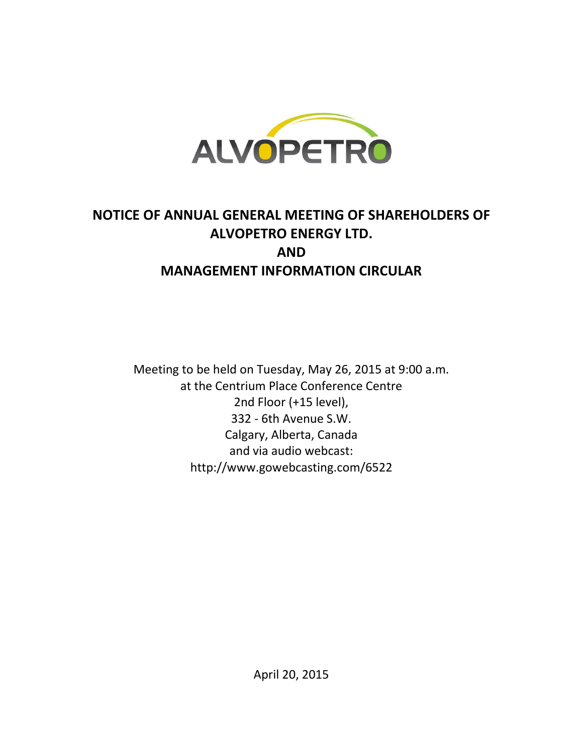

# **NOTICE OF ANNUAL GENERAL MEETING OF SHAREHOLDERS OF ALVOPETRO ENERGY LTD. AND MANAGEMENT INFORMATION CIRCULAR**

Meeting to be held on Tuesday, May 26, 2015 at 9:00 a.m. at the Centrium Place Conference Centre 2nd Floor (+15 level), 332 - 6th Avenue S.W. Calgary, Alberta, Canada and via audio webcast: <http://www.gowebcasting.com/6522>

April 20, 2015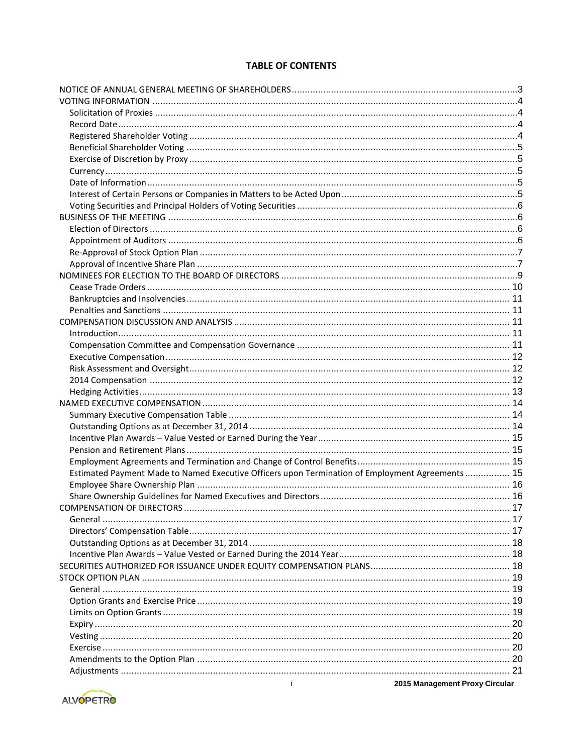# **TABLE OF CONTENTS**

| Estimated Payment Made to Named Executive Officers upon Termination of Employment Agreements  15                        |  |
|-------------------------------------------------------------------------------------------------------------------------|--|
|                                                                                                                         |  |
|                                                                                                                         |  |
|                                                                                                                         |  |
|                                                                                                                         |  |
|                                                                                                                         |  |
|                                                                                                                         |  |
|                                                                                                                         |  |
|                                                                                                                         |  |
|                                                                                                                         |  |
|                                                                                                                         |  |
|                                                                                                                         |  |
|                                                                                                                         |  |
|                                                                                                                         |  |
|                                                                                                                         |  |
|                                                                                                                         |  |
|                                                                                                                         |  |
| $\mathbf{H}^{\text{max}}$ and $\mathbf{H}^{\text{max}}$ and $\mathbf{H}^{\text{max}}$<br>2015 Management Proxy Circular |  |



2015 Management Proxy Circular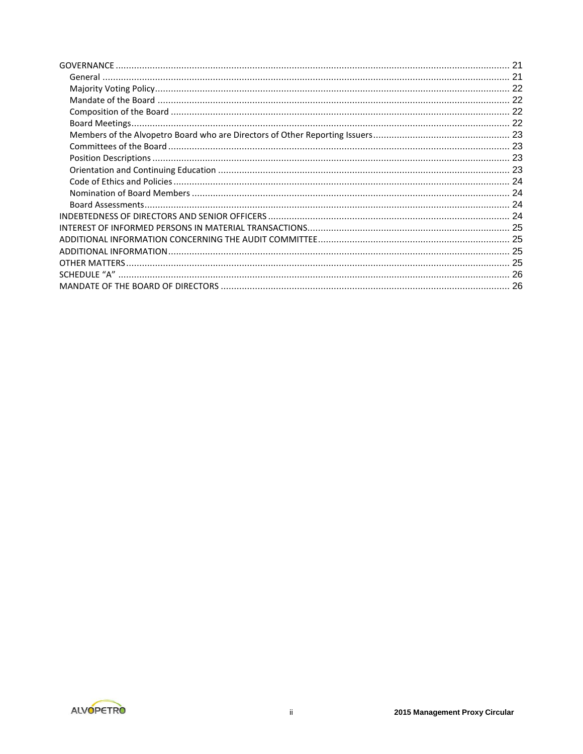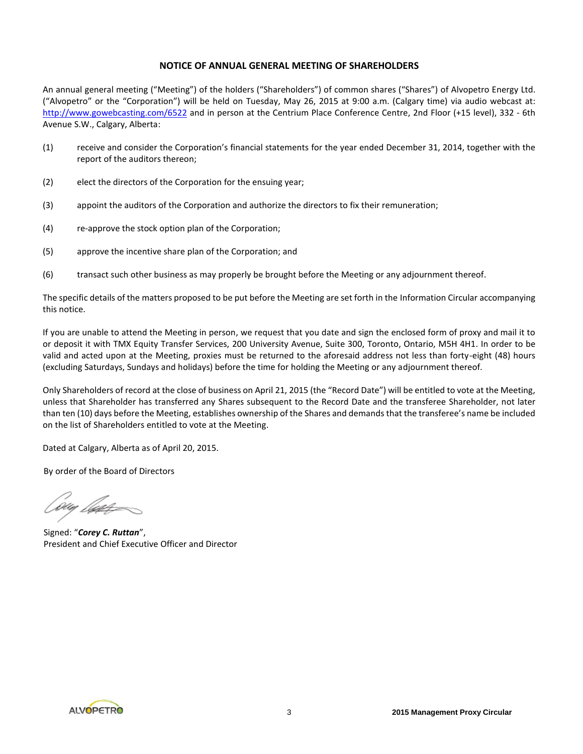# **NOTICE OF ANNUAL GENERAL MEETING OF SHAREHOLDERS**

An annual general meeting ("Meeting") of the holders ("Shareholders") of common shares ("Shares") of Alvopetro Energy Ltd. ("Alvopetro" or the "Corporation") will be held on Tuesday, May 26, 2015 at 9:00 a.m. (Calgary time) via audio webcast at: <http://www.gowebcasting.com/6522> and in person at the Centrium Place Conference Centre, 2nd Floor (+15 level), 332 - 6th Avenue S.W., Calgary, Alberta:

- (1) receive and consider the Corporation's financial statements for the year ended December 31, 2014, together with the report of the auditors thereon;
- (2) elect the directors of the Corporation for the ensuing year;
- (3) appoint the auditors of the Corporation and authorize the directors to fix their remuneration;
- (4) re-approve the stock option plan of the Corporation;
- (5) approve the incentive share plan of the Corporation; and
- (6) transact such other business as may properly be brought before the Meeting or any adjournment thereof.

The specific details of the matters proposed to be put before the Meeting are set forth in the Information Circular accompanying this notice.

If you are unable to attend the Meeting in person, we request that you date and sign the enclosed form of proxy and mail it to or deposit it with TMX Equity Transfer Services, 200 University Avenue, Suite 300, Toronto, Ontario, M5H 4H1. In order to be valid and acted upon at the Meeting, proxies must be returned to the aforesaid address not less than forty-eight (48) hours (excluding Saturdays, Sundays and holidays) before the time for holding the Meeting or any adjournment thereof.

Only Shareholders of record at the close of business on April 21, 2015 (the "Record Date") will be entitled to vote at the Meeting, unless that Shareholder has transferred any Shares subsequent to the Record Date and the transferee Shareholder, not later than ten (10) days before the Meeting, establishes ownership of the Shares and demands that the transferee's name be included on the list of Shareholders entitled to vote at the Meeting.

Dated at Calgary, Alberta as of April 20, 2015.

By order of the Board of Directors

Ciriq *llar*f

Signed: "*Corey C. Ruttan*", President and Chief Executive Officer and Director

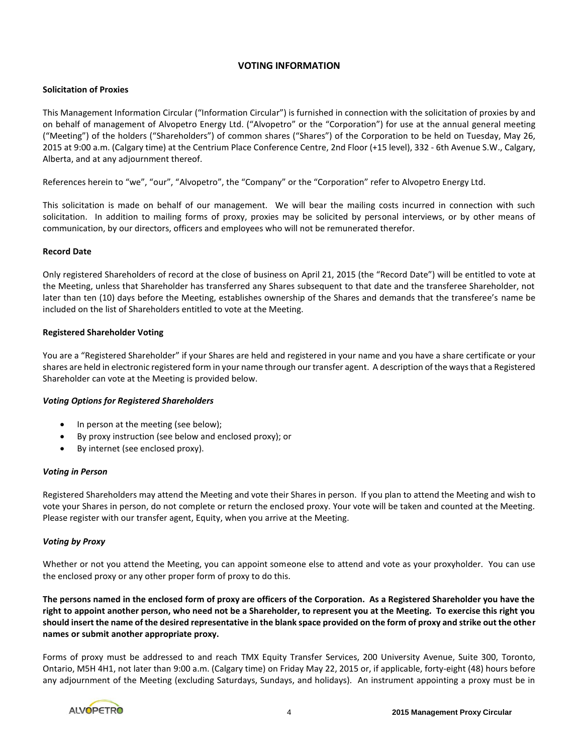# **VOTING INFORMATION**

# **Solicitation of Proxies**

This Management Information Circular ("Information Circular") is furnished in connection with the solicitation of proxies by and on behalf of management of Alvopetro Energy Ltd. ("Alvopetro" or the "Corporation") for use at the annual general meeting ("Meeting") of the holders ("Shareholders") of common shares ("Shares") of the Corporation to be held on Tuesday, May 26, 2015 at 9:00 a.m. (Calgary time) at the Centrium Place Conference Centre, 2nd Floor (+15 level), 332 - 6th Avenue S.W., Calgary, Alberta, and at any adjournment thereof.

References herein to "we", "our", "Alvopetro", the "Company" or the "Corporation" refer to Alvopetro Energy Ltd.

This solicitation is made on behalf of our management. We will bear the mailing costs incurred in connection with such solicitation. In addition to mailing forms of proxy, proxies may be solicited by personal interviews, or by other means of communication, by our directors, officers and employees who will not be remunerated therefor.

# **Record Date**

Only registered Shareholders of record at the close of business on April 21, 2015 (the "Record Date") will be entitled to vote at the Meeting, unless that Shareholder has transferred any Shares subsequent to that date and the transferee Shareholder, not later than ten (10) days before the Meeting, establishes ownership of the Shares and demands that the transferee's name be included on the list of Shareholders entitled to vote at the Meeting.

# **Registered Shareholder Voting**

You are a "Registered Shareholder" if your Shares are held and registered in your name and you have a share certificate or your shares are held in electronic registered form in your name through our transfer agent. A description of the ways that a Registered Shareholder can vote at the Meeting is provided below.

#### *Voting Options for Registered Shareholders*

- In person at the meeting (see below);
- By proxy instruction (see below and enclosed proxy); or
- By internet (see enclosed proxy).

#### *Voting in Person*

Registered Shareholders may attend the Meeting and vote their Shares in person. If you plan to attend the Meeting and wish to vote your Shares in person, do not complete or return the enclosed proxy. Your vote will be taken and counted at the Meeting. Please register with our transfer agent, Equity, when you arrive at the Meeting.

#### *Voting by Proxy*

Whether or not you attend the Meeting, you can appoint someone else to attend and vote as your proxyholder. You can use the enclosed proxy or any other proper form of proxy to do this.

**The persons named in the enclosed form of proxy are officers of the Corporation. As a Registered Shareholder you have the right to appoint another person, who need not be a Shareholder, to represent you at the Meeting. To exercise this right you should insert the name of the desired representative in the blank space provided on the form of proxy and strike out the other names or submit another appropriate proxy.**

Forms of proxy must be addressed to and reach TMX Equity Transfer Services, 200 University Avenue, Suite 300, Toronto, Ontario, M5H 4H1, not later than 9:00 a.m. (Calgary time) on Friday May 22, 2015 or, if applicable, forty-eight (48) hours before any adjournment of the Meeting (excluding Saturdays, Sundays, and holidays). An instrument appointing a proxy must be in

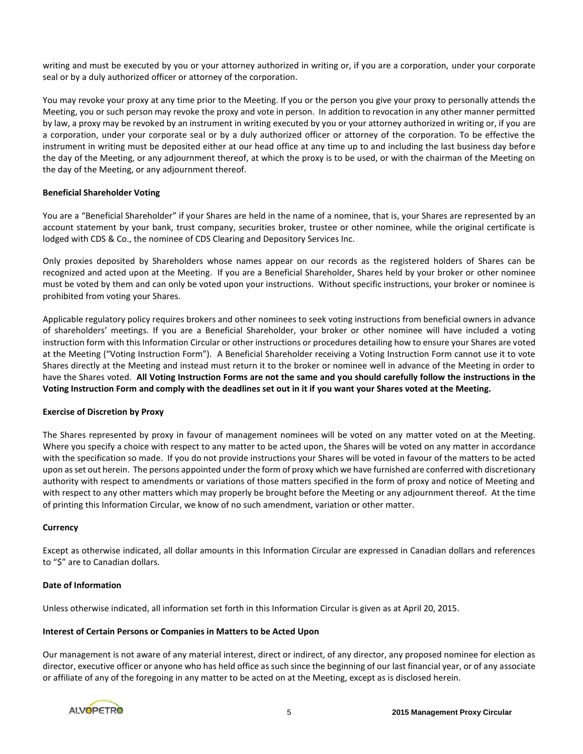writing and must be executed by you or your attorney authorized in writing or, if you are a corporation, under your corporate seal or by a duly authorized officer or attorney of the corporation.

You may revoke your proxy at any time prior to the Meeting. If you or the person you give your proxy to personally attends the Meeting, you or such person may revoke the proxy and vote in person. In addition to revocation in any other manner permitted by law, a proxy may be revoked by an instrument in writing executed by you or your attorney authorized in writing or, if you are a corporation, under your corporate seal or by a duly authorized officer or attorney of the corporation. To be effective the instrument in writing must be deposited either at our head office at any time up to and including the last business day before the day of the Meeting, or any adjournment thereof, at which the proxy is to be used, or with the chairman of the Meeting on the day of the Meeting, or any adjournment thereof.

# **Beneficial Shareholder Voting**

You are a "Beneficial Shareholder" if your Shares are held in the name of a nominee, that is, your Shares are represented by an account statement by your bank, trust company, securities broker, trustee or other nominee, while the original certificate is lodged with CDS & Co., the nominee of CDS Clearing and Depository Services Inc.

Only proxies deposited by Shareholders whose names appear on our records as the registered holders of Shares can be recognized and acted upon at the Meeting. If you are a Beneficial Shareholder, Shares held by your broker or other nominee must be voted by them and can only be voted upon your instructions. Without specific instructions, your broker or nominee is prohibited from voting your Shares.

Applicable regulatory policy requires brokers and other nominees to seek voting instructions from beneficial owners in advance of shareholders' meetings. If you are a Beneficial Shareholder, your broker or other nominee will have included a voting instruction form with this Information Circular or other instructions or procedures detailing how to ensure your Shares are voted at the Meeting ("Voting Instruction Form"). A Beneficial Shareholder receiving a Voting Instruction Form cannot use it to vote Shares directly at the Meeting and instead must return it to the broker or nominee well in advance of the Meeting in order to have the Shares voted. **All Voting Instruction Forms are not the same and you should carefully follow the instructions in the Voting Instruction Form and comply with the deadlines set out in it if you want your Shares voted at the Meeting.** 

#### **Exercise of Discretion by Proxy**

The Shares represented by proxy in favour of management nominees will be voted on any matter voted on at the Meeting. Where you specify a choice with respect to any matter to be acted upon, the Shares will be voted on any matter in accordance with the specification so made. If you do not provide instructions your Shares will be voted in favour of the matters to be acted upon as set out herein. The persons appointed under the form of proxy which we have furnished are conferred with discretionary authority with respect to amendments or variations of those matters specified in the form of proxy and notice of Meeting and with respect to any other matters which may properly be brought before the Meeting or any adjournment thereof. At the time of printing this Information Circular, we know of no such amendment, variation or other matter.

#### **Currency**

Except as otherwise indicated, all dollar amounts in this Information Circular are expressed in Canadian dollars and references to "\$" are to Canadian dollars.

#### **Date of Information**

Unless otherwise indicated, all information set forth in this Information Circular is given as at April 20, 2015.

#### **Interest of Certain Persons or Companies in Matters to be Acted Upon**

Our management is not aware of any material interest, direct or indirect, of any director, any proposed nominee for election as director, executive officer or anyone who has held office as such since the beginning of our last financial year, or of any associate or affiliate of any of the foregoing in any matter to be acted on at the Meeting, except as is disclosed herein.

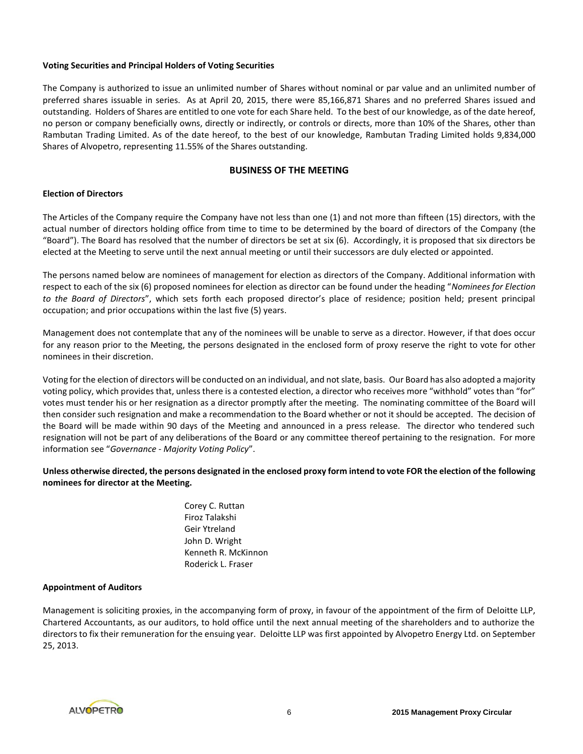# **Voting Securities and Principal Holders of Voting Securities**

The Company is authorized to issue an unlimited number of Shares without nominal or par value and an unlimited number of preferred shares issuable in series. As at April 20, 2015, there were 85,166,871 Shares and no preferred Shares issued and outstanding. Holders of Shares are entitled to one vote for each Share held. To the best of our knowledge, as of the date hereof, no person or company beneficially owns, directly or indirectly, or controls or directs, more than 10% of the Shares, other than Rambutan Trading Limited. As of the date hereof, to the best of our knowledge, Rambutan Trading Limited holds 9,834,000 Shares of Alvopetro, representing 11.55% of the Shares outstanding.

# **BUSINESS OF THE MEETING**

# **Election of Directors**

The Articles of the Company require the Company have not less than one (1) and not more than fifteen (15) directors, with the actual number of directors holding office from time to time to be determined by the board of directors of the Company (the "Board"). The Board has resolved that the number of directors be set at six (6). Accordingly, it is proposed that six directors be elected at the Meeting to serve until the next annual meeting or until their successors are duly elected or appointed.

The persons named below are nominees of management for election as directors of the Company. Additional information with respect to each of the six (6) proposed nominees for election as director can be found under the heading "*Nominees for Election to the Board of Directors*", which sets forth each proposed director's place of residence; position held; present principal occupation; and prior occupations within the last five (5) years.

Management does not contemplate that any of the nominees will be unable to serve as a director. However, if that does occur for any reason prior to the Meeting, the persons designated in the enclosed form of proxy reserve the right to vote for other nominees in their discretion.

Voting for the election of directors will be conducted on an individual, and not slate, basis. Our Board has also adopted a majority voting policy, which provides that, unless there is a contested election, a director who receives more "withhold" votes than "for" votes must tender his or her resignation as a director promptly after the meeting. The nominating committee of the Board will then consider such resignation and make a recommendation to the Board whether or not it should be accepted. The decision of the Board will be made within 90 days of the Meeting and announced in a press release. The director who tendered such resignation will not be part of any deliberations of the Board or any committee thereof pertaining to the resignation. For more information see "*Governance - Majority Voting Policy*".

**Unless otherwise directed, the persons designated in the enclosed proxy form intend to vote FOR the election of the following nominees for director at the Meeting.**

> Corey C. Ruttan Firoz Talakshi Geir Ytreland John D. Wright Kenneth R. McKinnon Roderick L. Fraser

#### **Appointment of Auditors**

Management is soliciting proxies, in the accompanying form of proxy, in favour of the appointment of the firm of Deloitte LLP, Chartered Accountants, as our auditors, to hold office until the next annual meeting of the shareholders and to authorize the directors to fix their remuneration for the ensuing year. Deloitte LLP was first appointed by Alvopetro Energy Ltd. on September 25, 2013.

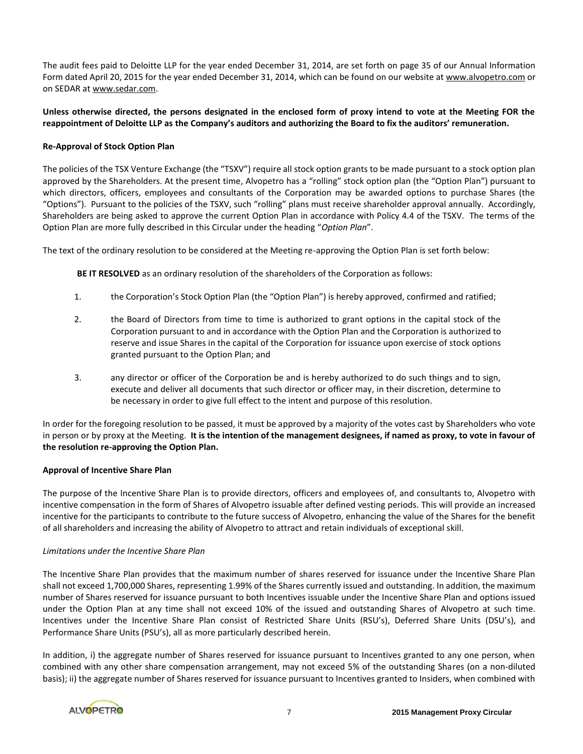The audit fees paid to Deloitte LLP for the year ended December 31, 2014, are set forth on page 35 of our Annual Information Form dated April 20, 2015 for the year ended December 31, 2014, which can be found on our website at www.alvopetro.com or on SEDAR at www.sedar.com.

# **Unless otherwise directed, the persons designated in the enclosed form of proxy intend to vote at the Meeting FOR the reappointment of Deloitte LLP as the Company's auditors and authorizing the Board to fix the auditors' remuneration.**

# **Re-Approval of Stock Option Plan**

The policies of the TSX Venture Exchange (the "TSXV") require all stock option grants to be made pursuant to a stock option plan approved by the Shareholders. At the present time, Alvopetro has a "rolling" stock option plan (the "Option Plan") pursuant to which directors, officers, employees and consultants of the Corporation may be awarded options to purchase Shares (the "Options"). Pursuant to the policies of the TSXV, such "rolling" plans must receive shareholder approval annually. Accordingly, Shareholders are being asked to approve the current Option Plan in accordance with Policy 4.4 of the TSXV. The terms of the Option Plan are more fully described in this Circular under the heading "*Option Plan*".

The text of the ordinary resolution to be considered at the Meeting re-approving the Option Plan is set forth below:

**BE IT RESOLVED** as an ordinary resolution of the shareholders of the Corporation as follows:

- 1. the Corporation's Stock Option Plan (the "Option Plan") is hereby approved, confirmed and ratified;
- 2. the Board of Directors from time to time is authorized to grant options in the capital stock of the Corporation pursuant to and in accordance with the Option Plan and the Corporation is authorized to reserve and issue Shares in the capital of the Corporation for issuance upon exercise of stock options granted pursuant to the Option Plan; and
- 3. any director or officer of the Corporation be and is hereby authorized to do such things and to sign, execute and deliver all documents that such director or officer may, in their discretion, determine to be necessary in order to give full effect to the intent and purpose of this resolution.

In order for the foregoing resolution to be passed, it must be approved by a majority of the votes cast by Shareholders who vote in person or by proxy at the Meeting. **It is the intention of the management designees, if named as proxy, to vote in favour of the resolution re-approving the Option Plan.**

# **Approval of Incentive Share Plan**

The purpose of the Incentive Share Plan is to provide directors, officers and employees of, and consultants to, Alvopetro with incentive compensation in the form of Shares of Alvopetro issuable after defined vesting periods. This will provide an increased incentive for the participants to contribute to the future success of Alvopetro, enhancing the value of the Shares for the benefit of all shareholders and increasing the ability of Alvopetro to attract and retain individuals of exceptional skill.

# *Limitations under the Incentive Share Plan*

The Incentive Share Plan provides that the maximum number of shares reserved for issuance under the Incentive Share Plan shall not exceed 1,700,000 Shares, representing 1.99% of the Shares currently issued and outstanding. In addition, the maximum number of Shares reserved for issuance pursuant to both Incentives issuable under the Incentive Share Plan and options issued under the Option Plan at any time shall not exceed 10% of the issued and outstanding Shares of Alvopetro at such time. Incentives under the Incentive Share Plan consist of Restricted Share Units (RSU's), Deferred Share Units (DSU's), and Performance Share Units (PSU's), all as more particularly described herein.

In addition, i) the aggregate number of Shares reserved for issuance pursuant to Incentives granted to any one person, when combined with any other share compensation arrangement, may not exceed 5% of the outstanding Shares (on a non-diluted basis); ii) the aggregate number of Shares reserved for issuance pursuant to Incentives granted to Insiders, when combined with

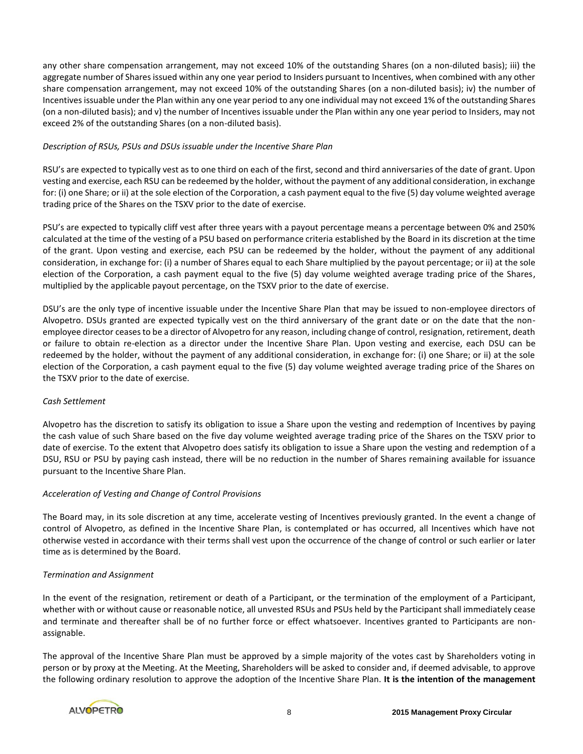any other share compensation arrangement, may not exceed 10% of the outstanding Shares (on a non-diluted basis); iii) the aggregate number of Shares issued within any one year period to Insiders pursuant to Incentives, when combined with any other share compensation arrangement, may not exceed 10% of the outstanding Shares (on a non-diluted basis); iv) the number of Incentives issuable under the Plan within any one year period to any one individual may not exceed 1% of the outstanding Shares (on a non-diluted basis); and v) the number of Incentives issuable under the Plan within any one year period to Insiders, may not exceed 2% of the outstanding Shares (on a non-diluted basis).

# *Description of RSUs, PSUs and DSUs issuable under the Incentive Share Plan*

RSU's are expected to typically vest as to one third on each of the first, second and third anniversaries of the date of grant. Upon vesting and exercise, each RSU can be redeemed by the holder, without the payment of any additional consideration, in exchange for: (i) one Share; or ii) at the sole election of the Corporation, a cash payment equal to the five (5) day volume weighted average trading price of the Shares on the TSXV prior to the date of exercise.

PSU's are expected to typically cliff vest after three years with a payout percentage means a percentage between 0% and 250% calculated at the time of the vesting of a PSU based on performance criteria established by the Board in its discretion at the time of the grant. Upon vesting and exercise, each PSU can be redeemed by the holder, without the payment of any additional consideration, in exchange for: (i) a number of Shares equal to each Share multiplied by the payout percentage; or ii) at the sole election of the Corporation, a cash payment equal to the five (5) day volume weighted average trading price of the Shares, multiplied by the applicable payout percentage, on the TSXV prior to the date of exercise.

DSU's are the only type of incentive issuable under the Incentive Share Plan that may be issued to non-employee directors of Alvopetro. DSUs granted are expected typically vest on the third anniversary of the grant date or on the date that the nonemployee director ceases to be a director of Alvopetro for any reason, including change of control, resignation, retirement, death or failure to obtain re-election as a director under the Incentive Share Plan. Upon vesting and exercise, each DSU can be redeemed by the holder, without the payment of any additional consideration, in exchange for: (i) one Share; or ii) at the sole election of the Corporation, a cash payment equal to the five (5) day volume weighted average trading price of the Shares on the TSXV prior to the date of exercise.

# *Cash Settlement*

Alvopetro has the discretion to satisfy its obligation to issue a Share upon the vesting and redemption of Incentives by paying the cash value of such Share based on the five day volume weighted average trading price of the Shares on the TSXV prior to date of exercise. To the extent that Alvopetro does satisfy its obligation to issue a Share upon the vesting and redemption of a DSU, RSU or PSU by paying cash instead, there will be no reduction in the number of Shares remaining available for issuance pursuant to the Incentive Share Plan.

# *Acceleration of Vesting and Change of Control Provisions*

The Board may, in its sole discretion at any time, accelerate vesting of Incentives previously granted. In the event a change of control of Alvopetro, as defined in the Incentive Share Plan, is contemplated or has occurred, all Incentives which have not otherwise vested in accordance with their terms shall vest upon the occurrence of the change of control or such earlier or later time as is determined by the Board.

#### *Termination and Assignment*

In the event of the resignation, retirement or death of a Participant, or the termination of the employment of a Participant, whether with or without cause or reasonable notice, all unvested RSUs and PSUs held by the Participant shall immediately cease and terminate and thereafter shall be of no further force or effect whatsoever. Incentives granted to Participants are nonassignable.

The approval of the Incentive Share Plan must be approved by a simple majority of the votes cast by Shareholders voting in person or by proxy at the Meeting. At the Meeting, Shareholders will be asked to consider and, if deemed advisable, to approve the following ordinary resolution to approve the adoption of the Incentive Share Plan. **It is the intention of the management** 

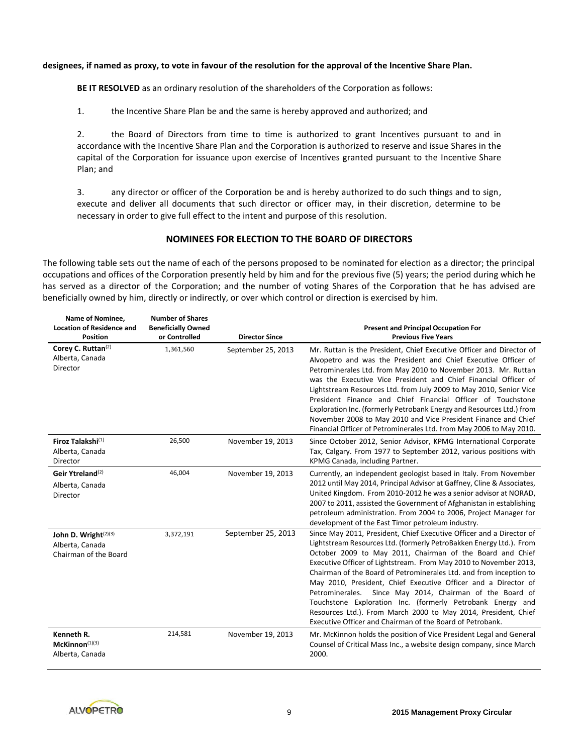# **designees, if named as proxy, to vote in favour of the resolution for the approval of the Incentive Share Plan.**

**BE IT RESOLVED** as an ordinary resolution of the shareholders of the Corporation as follows:

1. the Incentive Share Plan be and the same is hereby approved and authorized; and

2. the Board of Directors from time to time is authorized to grant Incentives pursuant to and in accordance with the Incentive Share Plan and the Corporation is authorized to reserve and issue Shares in the capital of the Corporation for issuance upon exercise of Incentives granted pursuant to the Incentive Share Plan; and

3. any director or officer of the Corporation be and is hereby authorized to do such things and to sign, execute and deliver all documents that such director or officer may, in their discretion, determine to be necessary in order to give full effect to the intent and purpose of this resolution.

# **NOMINEES FOR ELECTION TO THE BOARD OF DIRECTORS**

The following table sets out the name of each of the persons proposed to be nominated for election as a director; the principal occupations and offices of the Corporation presently held by him and for the previous five (5) years; the period during which he has served as a director of the Corporation; and the number of voting Shares of the Corporation that he has advised are beneficially owned by him, directly or indirectly, or over which control or direction is exercised by him.

| Name of Nominee,                                                             | <b>Number of Shares</b>                    |                       |                                                                                                                                                                                                                                                                                                                                                                                                                                                                                                                                                                                                                                                                                   |
|------------------------------------------------------------------------------|--------------------------------------------|-----------------------|-----------------------------------------------------------------------------------------------------------------------------------------------------------------------------------------------------------------------------------------------------------------------------------------------------------------------------------------------------------------------------------------------------------------------------------------------------------------------------------------------------------------------------------------------------------------------------------------------------------------------------------------------------------------------------------|
| <b>Location of Residence and</b><br><b>Position</b>                          | <b>Beneficially Owned</b><br>or Controlled | <b>Director Since</b> | <b>Present and Principal Occupation For</b><br><b>Previous Five Years</b>                                                                                                                                                                                                                                                                                                                                                                                                                                                                                                                                                                                                         |
| Corey C. Ruttan(2)<br>Alberta, Canada<br>Director                            | 1,361,560                                  | September 25, 2013    | Mr. Ruttan is the President, Chief Executive Officer and Director of<br>Alvopetro and was the President and Chief Executive Officer of<br>Petrominerales Ltd. from May 2010 to November 2013. Mr. Ruttan<br>was the Executive Vice President and Chief Financial Officer of<br>Lightstream Resources Ltd. from July 2009 to May 2010, Senior Vice<br>President Finance and Chief Financial Officer of Touchstone<br>Exploration Inc. (formerly Petrobank Energy and Resources Ltd.) from<br>November 2008 to May 2010 and Vice President Finance and Chief<br>Financial Officer of Petrominerales Ltd. from May 2006 to May 2010.                                                 |
| Firoz Talakshi <sup>(1)</sup><br>Alberta, Canada<br>Director                 | 26,500                                     | November 19, 2013     | Since October 2012, Senior Advisor, KPMG International Corporate<br>Tax, Calgary. From 1977 to September 2012, various positions with<br>KPMG Canada, including Partner.                                                                                                                                                                                                                                                                                                                                                                                                                                                                                                          |
| Geir Ytreland <sup>(2)</sup><br>Alberta, Canada<br>Director                  | 46,004                                     | November 19, 2013     | Currently, an independent geologist based in Italy. From November<br>2012 until May 2014, Principal Advisor at Gaffney, Cline & Associates,<br>United Kingdom. From 2010-2012 he was a senior advisor at NORAD,<br>2007 to 2011, assisted the Government of Afghanistan in establishing<br>petroleum administration. From 2004 to 2006, Project Manager for<br>development of the East Timor petroleum industry.                                                                                                                                                                                                                                                                  |
| John D. Wright <sup>(2)(3)</sup><br>Alberta, Canada<br>Chairman of the Board | 3,372,191                                  | September 25, 2013    | Since May 2011, President, Chief Executive Officer and a Director of<br>Lightstream Resources Ltd. (formerly PetroBakken Energy Ltd.). From<br>October 2009 to May 2011, Chairman of the Board and Chief<br>Executive Officer of Lightstream. From May 2010 to November 2013,<br>Chairman of the Board of Petrominerales Ltd. and from inception to<br>May 2010, President, Chief Executive Officer and a Director of<br>Since May 2014, Chairman of the Board of<br>Petrominerales.<br>Touchstone Exploration Inc. (formerly Petrobank Energy and<br>Resources Ltd.). From March 2000 to May 2014, President, Chief<br>Executive Officer and Chairman of the Board of Petrobank. |
| Kenneth R.<br>McKinnon <sup>(1)(3)</sup><br>Alberta, Canada                  | 214,581                                    | November 19, 2013     | Mr. McKinnon holds the position of Vice President Legal and General<br>Counsel of Critical Mass Inc., a website design company, since March<br>2000.                                                                                                                                                                                                                                                                                                                                                                                                                                                                                                                              |

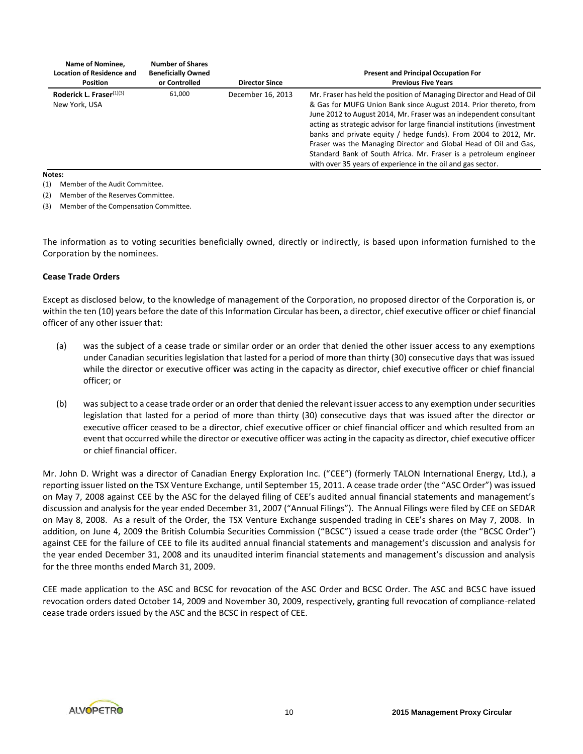| Name of Nominee.<br><b>Location of Residence and</b><br><b>Position</b> | <b>Number of Shares</b><br><b>Beneficially Owned</b><br>or Controlled | <b>Director Since</b> | <b>Present and Principal Occupation For</b><br><b>Previous Five Years</b>                                                                                                                                                                                                                                                                                                                                                                                                                                                                                              |
|-------------------------------------------------------------------------|-----------------------------------------------------------------------|-----------------------|------------------------------------------------------------------------------------------------------------------------------------------------------------------------------------------------------------------------------------------------------------------------------------------------------------------------------------------------------------------------------------------------------------------------------------------------------------------------------------------------------------------------------------------------------------------------|
| Roderick L. Fraser(1)(3)<br>New York, USA                               | 61,000                                                                | December 16, 2013     | Mr. Fraser has held the position of Managing Director and Head of Oil<br>& Gas for MUFG Union Bank since August 2014. Prior thereto, from<br>June 2012 to August 2014, Mr. Fraser was an independent consultant<br>acting as strategic advisor for large financial institutions (investment<br>banks and private equity / hedge funds). From 2004 to 2012, Mr.<br>Fraser was the Managing Director and Global Head of Oil and Gas,<br>Standard Bank of South Africa. Mr. Fraser is a petroleum engineer<br>with over 35 years of experience in the oil and gas sector. |

#### **Notes:**

(1) Member of the Audit Committee.

(2) Member of the Reserves Committee.

(3) Member of the Compensation Committee.

The information as to voting securities beneficially owned, directly or indirectly, is based upon information furnished to the Corporation by the nominees.

# **Cease Trade Orders**

Except as disclosed below, to the knowledge of management of the Corporation, no proposed director of the Corporation is, or within the ten (10) years before the date of this Information Circular has been, a director, chief executive officer or chief financial officer of any other issuer that:

- (a) was the subject of a cease trade or similar order or an order that denied the other issuer access to any exemptions under Canadian securities legislation that lasted for a period of more than thirty (30) consecutive days that was issued while the director or executive officer was acting in the capacity as director, chief executive officer or chief financial officer; or
- (b) was subject to a cease trade order or an order that denied the relevant issuer access to any exemption under securities legislation that lasted for a period of more than thirty (30) consecutive days that was issued after the director or executive officer ceased to be a director, chief executive officer or chief financial officer and which resulted from an event that occurred while the director or executive officer was acting in the capacity as director, chief executive officer or chief financial officer.

Mr. John D. Wright was a director of Canadian Energy Exploration Inc. ("CEE") (formerly TALON International Energy, Ltd.), a reporting issuer listed on the TSX Venture Exchange, until September 15, 2011. A cease trade order (the "ASC Order") was issued on May 7, 2008 against CEE by the ASC for the delayed filing of CEE's audited annual financial statements and management's discussion and analysis for the year ended December 31, 2007 ("Annual Filings"). The Annual Filings were filed by CEE on SEDAR on May 8, 2008. As a result of the Order, the TSX Venture Exchange suspended trading in CEE's shares on May 7, 2008. In addition, on June 4, 2009 the British Columbia Securities Commission ("BCSC") issued a cease trade order (the "BCSC Order") against CEE for the failure of CEE to file its audited annual financial statements and management's discussion and analysis for the year ended December 31, 2008 and its unaudited interim financial statements and management's discussion and analysis for the three months ended March 31, 2009.

CEE made application to the ASC and BCSC for revocation of the ASC Order and BCSC Order. The ASC and BCSC have issued revocation orders dated October 14, 2009 and November 30, 2009, respectively, granting full revocation of compliance-related cease trade orders issued by the ASC and the BCSC in respect of CEE.

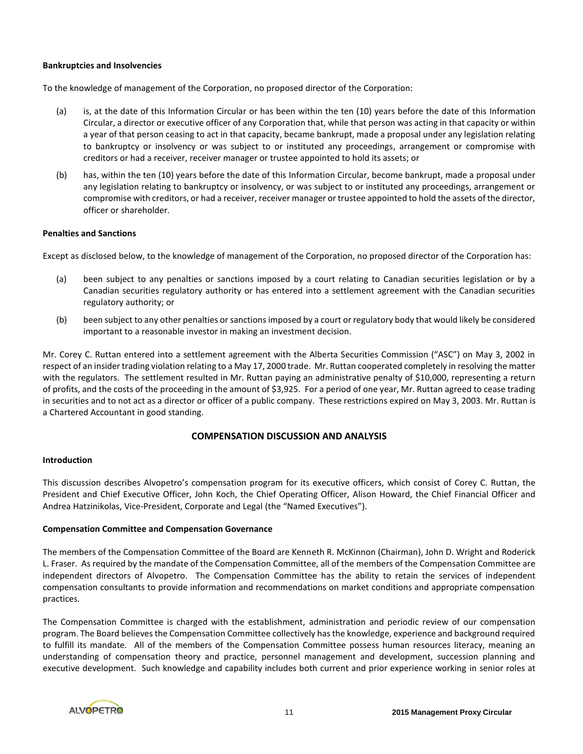# **Bankruptcies and Insolvencies**

To the knowledge of management of the Corporation, no proposed director of the Corporation:

- (a) is, at the date of this Information Circular or has been within the ten (10) years before the date of this Information Circular, a director or executive officer of any Corporation that, while that person was acting in that capacity or within a year of that person ceasing to act in that capacity, became bankrupt, made a proposal under any legislation relating to bankruptcy or insolvency or was subject to or instituted any proceedings, arrangement or compromise with creditors or had a receiver, receiver manager or trustee appointed to hold its assets; or
- (b) has, within the ten (10) years before the date of this Information Circular, become bankrupt, made a proposal under any legislation relating to bankruptcy or insolvency, or was subject to or instituted any proceedings, arrangement or compromise with creditors, or had a receiver, receiver manager or trustee appointed to hold the assets of the director, officer or shareholder.

# **Penalties and Sanctions**

Except as disclosed below, to the knowledge of management of the Corporation, no proposed director of the Corporation has:

- (a) been subject to any penalties or sanctions imposed by a court relating to Canadian securities legislation or by a Canadian securities regulatory authority or has entered into a settlement agreement with the Canadian securities regulatory authority; or
- (b) been subject to any other penalties or sanctions imposed by a court or regulatory body that would likely be considered important to a reasonable investor in making an investment decision.

Mr. Corey C. Ruttan entered into a settlement agreement with the Alberta Securities Commission ("ASC") on May 3, 2002 in respect of an insider trading violation relating to a May 17, 2000 trade. Mr. Ruttan cooperated completely in resolving the matter with the regulators. The settlement resulted in Mr. Ruttan paying an administrative penalty of \$10,000, representing a return of profits, and the costs of the proceeding in the amount of \$3,925. For a period of one year, Mr. Ruttan agreed to cease trading in securities and to not act as a director or officer of a public company. These restrictions expired on May 3, 2003. Mr. Ruttan is a Chartered Accountant in good standing.

# **COMPENSATION DISCUSSION AND ANALYSIS**

#### **Introduction**

This discussion describes Alvopetro's compensation program for its executive officers, which consist of Corey C. Ruttan, the President and Chief Executive Officer, John Koch, the Chief Operating Officer, Alison Howard, the Chief Financial Officer and Andrea Hatzinikolas, Vice-President, Corporate and Legal (the "Named Executives").

# **Compensation Committee and Compensation Governance**

The members of the Compensation Committee of the Board are Kenneth R. McKinnon (Chairman), John D. Wright and Roderick L. Fraser. As required by the mandate of the Compensation Committee, all of the members of the Compensation Committee are independent directors of Alvopetro. The Compensation Committee has the ability to retain the services of independent compensation consultants to provide information and recommendations on market conditions and appropriate compensation practices.

The Compensation Committee is charged with the establishment, administration and periodic review of our compensation program. The Board believes the Compensation Committee collectively has the knowledge, experience and background required to fulfill its mandate. All of the members of the Compensation Committee possess human resources literacy, meaning an understanding of compensation theory and practice, personnel management and development, succession planning and executive development. Such knowledge and capability includes both current and prior experience working in senior roles at

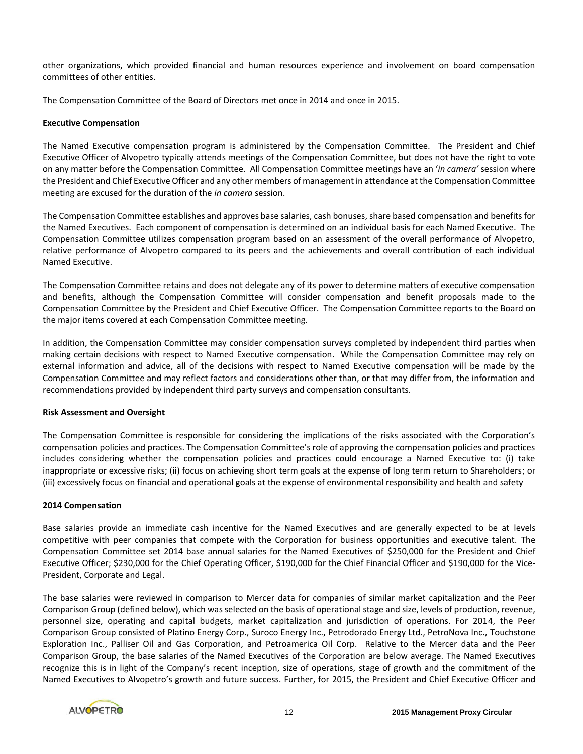other organizations, which provided financial and human resources experience and involvement on board compensation committees of other entities.

The Compensation Committee of the Board of Directors met once in 2014 and once in 2015.

# **Executive Compensation**

The Named Executive compensation program is administered by the Compensation Committee. The President and Chief Executive Officer of Alvopetro typically attends meetings of the Compensation Committee, but does not have the right to vote on any matter before the Compensation Committee. All Compensation Committee meetings have an '*in camera'* session where the President and Chief Executive Officer and any other members of management in attendance at the Compensation Committee meeting are excused for the duration of the *in camera* session.

The Compensation Committee establishes and approves base salaries, cash bonuses, share based compensation and benefits for the Named Executives. Each component of compensation is determined on an individual basis for each Named Executive. The Compensation Committee utilizes compensation program based on an assessment of the overall performance of Alvopetro, relative performance of Alvopetro compared to its peers and the achievements and overall contribution of each individual Named Executive.

The Compensation Committee retains and does not delegate any of its power to determine matters of executive compensation and benefits, although the Compensation Committee will consider compensation and benefit proposals made to the Compensation Committee by the President and Chief Executive Officer. The Compensation Committee reports to the Board on the major items covered at each Compensation Committee meeting.

In addition, the Compensation Committee may consider compensation surveys completed by independent third parties when making certain decisions with respect to Named Executive compensation. While the Compensation Committee may rely on external information and advice, all of the decisions with respect to Named Executive compensation will be made by the Compensation Committee and may reflect factors and considerations other than, or that may differ from, the information and recommendations provided by independent third party surveys and compensation consultants.

#### **Risk Assessment and Oversight**

The Compensation Committee is responsible for considering the implications of the risks associated with the Corporation's compensation policies and practices. The Compensation Committee's role of approving the compensation policies and practices includes considering whether the compensation policies and practices could encourage a Named Executive to: (i) take inappropriate or excessive risks; (ii) focus on achieving short term goals at the expense of long term return to Shareholders; or (iii) excessively focus on financial and operational goals at the expense of environmental responsibility and health and safety

#### **2014 Compensation**

Base salaries provide an immediate cash incentive for the Named Executives and are generally expected to be at levels competitive with peer companies that compete with the Corporation for business opportunities and executive talent. The Compensation Committee set 2014 base annual salaries for the Named Executives of \$250,000 for the President and Chief Executive Officer; \$230,000 for the Chief Operating Officer, \$190,000 for the Chief Financial Officer and \$190,000 for the Vice-President, Corporate and Legal.

The base salaries were reviewed in comparison to Mercer data for companies of similar market capitalization and the Peer Comparison Group (defined below), which was selected on the basis of operational stage and size, levels of production, revenue, personnel size, operating and capital budgets, market capitalization and jurisdiction of operations. For 2014, the Peer Comparison Group consisted of Platino Energy Corp., Suroco Energy Inc., Petrodorado Energy Ltd., PetroNova Inc., Touchstone Exploration Inc., Palliser Oil and Gas Corporation, and Petroamerica Oil Corp. Relative to the Mercer data and the Peer Comparison Group, the base salaries of the Named Executives of the Corporation are below average. The Named Executives recognize this is in light of the Company's recent inception, size of operations, stage of growth and the commitment of the Named Executives to Alvopetro's growth and future success. Further, for 2015, the President and Chief Executive Officer and

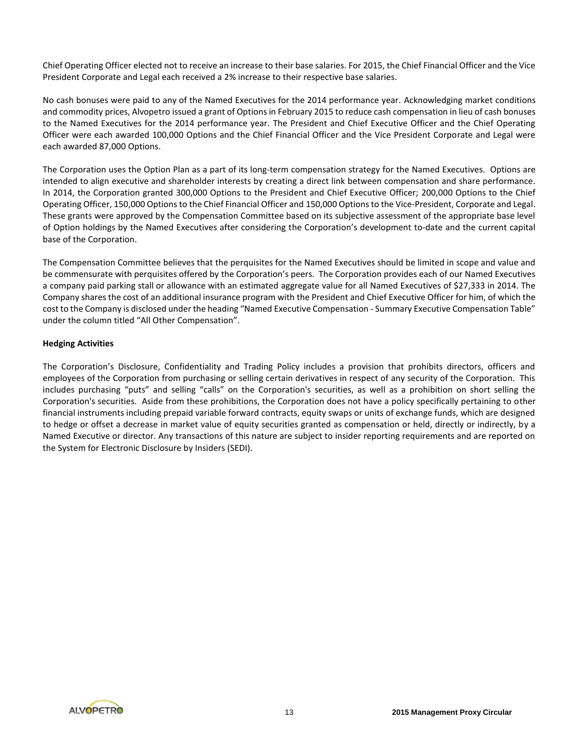Chief Operating Officer elected not to receive an increase to their base salaries. For 2015, the Chief Financial Officer and the Vice President Corporate and Legal each received a 2% increase to their respective base salaries.

No cash bonuses were paid to any of the Named Executives for the 2014 performance year. Acknowledging market conditions and commodity prices, Alvopetro issued a grant of Options in February 2015 to reduce cash compensation in lieu of cash bonuses to the Named Executives for the 2014 performance year. The President and Chief Executive Officer and the Chief Operating Officer were each awarded 100,000 Options and the Chief Financial Officer and the Vice President Corporate and Legal were each awarded 87,000 Options.

The Corporation uses the Option Plan as a part of its long-term compensation strategy for the Named Executives. Options are intended to align executive and shareholder interests by creating a direct link between compensation and share performance. In 2014, the Corporation granted 300,000 Options to the President and Chief Executive Officer; 200,000 Options to the Chief Operating Officer, 150,000 Options to the Chief Financial Officer and 150,000 Options to the Vice-President, Corporate and Legal. These grants were approved by the Compensation Committee based on its subjective assessment of the appropriate base level of Option holdings by the Named Executives after considering the Corporation's development to-date and the current capital base of the Corporation.

The Compensation Committee believes that the perquisites for the Named Executives should be limited in scope and value and be commensurate with perquisites offered by the Corporation's peers. The Corporation provides each of our Named Executives a company paid parking stall or allowance with an estimated aggregate value for all Named Executives of \$27,333 in 2014. The Company shares the cost of an additional insurance program with the President and Chief Executive Officer for him, of which the cost to the Company is disclosed under the heading "Named Executive Compensation - Summary Executive Compensation Table" under the column titled "All Other Compensation".

# **Hedging Activities**

The Corporation's Disclosure, Confidentiality and Trading Policy includes a provision that prohibits directors, officers and employees of the Corporation from purchasing or selling certain derivatives in respect of any security of the Corporation. This includes purchasing "puts" and selling "calls" on the Corporation's securities, as well as a prohibition on short selling the Corporation's securities. Aside from these prohibitions, the Corporation does not have a policy specifically pertaining to other financial instruments including prepaid variable forward contracts, equity swaps or units of exchange funds, which are designed to hedge or offset a decrease in market value of equity securities granted as compensation or held, directly or indirectly, by a Named Executive or director. Any transactions of this nature are subject to insider reporting requirements and are reported on the System for Electronic Disclosure by Insiders (SEDI).

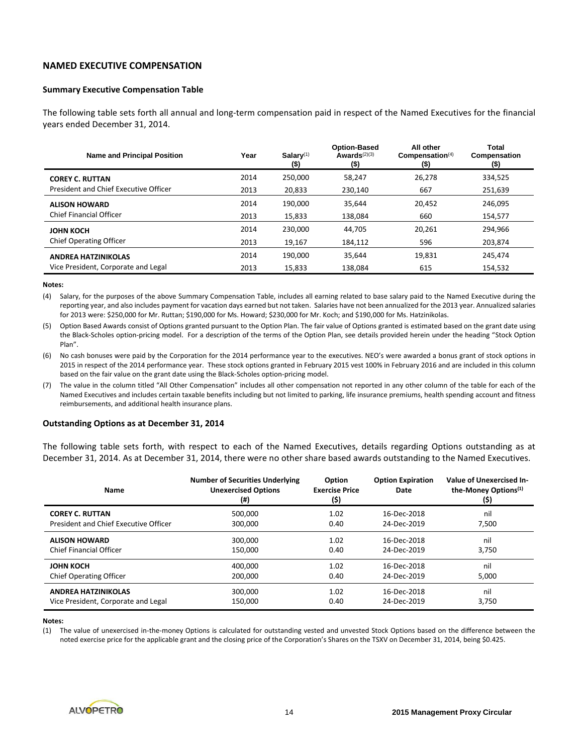# **NAMED EXECUTIVE COMPENSATION**

# **Summary Executive Compensation Table**

The following table sets forth all annual and long-term compensation paid in respect of the Named Executives for the financial years ended December 31, 2014.

| <b>Name and Principal Position</b>    | Year | $Salarv^{(1)}$<br>$($ \$ | <b>Option-Based</b><br>Awards $(2)(3)$<br>$($ \$) | All other<br>Compensation $(4)$<br>$($ \$) | Total<br>Compensation<br>(\$) |  |
|---------------------------------------|------|--------------------------|---------------------------------------------------|--------------------------------------------|-------------------------------|--|
| <b>COREY C. RUTTAN</b>                | 2014 | 250,000                  | 58,247                                            | 26,278                                     | 334,525                       |  |
| President and Chief Executive Officer | 2013 | 20.833                   | 230.140                                           | 667                                        | 251,639                       |  |
| <b>ALISON HOWARD</b>                  | 2014 | 190,000                  | 35.644                                            | 20,452                                     | 246,095                       |  |
| Chief Financial Officer               | 2013 | 15,833                   | 138,084                                           | 660                                        | 154,577                       |  |
| <b>JOHN KOCH</b>                      | 2014 | 230.000                  | 44.705                                            | 20,261                                     | 294.966                       |  |
| <b>Chief Operating Officer</b>        | 2013 | 19,167                   | 184,112                                           | 596                                        | 203,874                       |  |
| <b>ANDREA HATZINIKOLAS</b>            | 2014 | 190.000                  | 35.644                                            | 19,831                                     | 245.474                       |  |
| Vice President, Corporate and Legal   | 2013 | 15,833                   | 138.084                                           | 615                                        | 154,532                       |  |

#### **Notes:**

(4) Salary, for the purposes of the above Summary Compensation Table, includes all earning related to base salary paid to the Named Executive during the reporting year, and also includes payment for vacation days earned but not taken. Salaries have not been annualized for the 2013 year. Annualized salaries for 2013 were: \$250,000 for Mr. Ruttan; \$190,000 for Ms. Howard; \$230,000 for Mr. Koch; and \$190,000 for Ms. Hatzinikolas.

(5) Option Based Awards consist of Options granted pursuant to the Option Plan. The fair value of Options granted is estimated based on the grant date using the Black-Scholes option-pricing model. For a description of the terms of the Option Plan, see details provided herein under the heading "Stock Option Plan".

(6) No cash bonuses were paid by the Corporation for the 2014 performance year to the executives. NEO's were awarded a bonus grant of stock options in 2015 in respect of the 2014 performance year. These stock options granted in February 2015 vest 100% in February 2016 and are included in this column based on the fair value on the grant date using the Black-Scholes option-pricing model.

(7) The value in the column titled "All Other Compensation" includes all other compensation not reported in any other column of the table for each of the Named Executives and includes certain taxable benefits including but not limited to parking, life insurance premiums, health spending account and fitness reimbursements, and additional health insurance plans.

#### **Outstanding Options as at December 31, 2014**

The following table sets forth, with respect to each of the Named Executives, details regarding Options outstanding as at December 31, 2014. As at December 31, 2014, there were no other share based awards outstanding to the Named Executives.

| <b>Name</b>                           | <b>Number of Securities Underlying</b><br><b>Unexercised Options</b><br>(#) | Option<br><b>Exercise Price</b><br>(\$) | <b>Option Expiration</b><br>Date | Value of Unexercised In-<br>the-Money Options <sup>(1)</sup><br>(\$) |
|---------------------------------------|-----------------------------------------------------------------------------|-----------------------------------------|----------------------------------|----------------------------------------------------------------------|
| <b>COREY C. RUTTAN</b>                | 500.000                                                                     | 1.02                                    | 16-Dec-2018                      | nil                                                                  |
| President and Chief Executive Officer | 300,000                                                                     | 0.40                                    | 24-Dec-2019                      | 7,500                                                                |
| <b>ALISON HOWARD</b>                  | 300,000                                                                     | 1.02                                    | 16-Dec-2018                      | nil                                                                  |
| <b>Chief Financial Officer</b>        | 150.000                                                                     | 0.40                                    | 24-Dec-2019                      | 3.750                                                                |
| <b>JOHN KOCH</b>                      | 400,000                                                                     | 1.02                                    | 16-Dec-2018                      | nil                                                                  |
| <b>Chief Operating Officer</b>        | 200.000                                                                     | 0.40                                    | 24-Dec-2019                      | 5,000                                                                |
| <b>ANDREA HATZINIKOLAS</b>            | 300,000                                                                     | 1.02                                    | 16-Dec-2018                      | nil                                                                  |
| Vice President, Corporate and Legal   | 150,000                                                                     | 0.40                                    | 24-Dec-2019                      | 3,750                                                                |

#### **Notes:**

(1) The value of unexercised in-the-money Options is calculated for outstanding vested and unvested Stock Options based on the difference between the noted exercise price for the applicable grant and the closing price of the Corporation's Shares on the TSXV on December 31, 2014, being \$0.425.

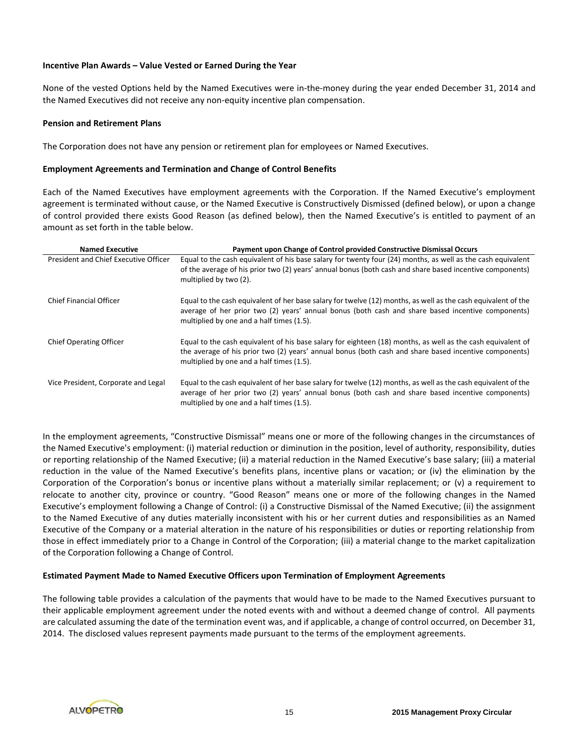# **Incentive Plan Awards – Value Vested or Earned During the Year**

None of the vested Options held by the Named Executives were in-the-money during the year ended December 31, 2014 and the Named Executives did not receive any non-equity incentive plan compensation.

# **Pension and Retirement Plans**

The Corporation does not have any pension or retirement plan for employees or Named Executives.

# **Employment Agreements and Termination and Change of Control Benefits**

Each of the Named Executives have employment agreements with the Corporation. If the Named Executive's employment agreement is terminated without cause, or the Named Executive is Constructively Dismissed (defined below), or upon a change of control provided there exists Good Reason (as defined below), then the Named Executive's is entitled to payment of an amount as set forth in the table below.

| <b>Named Executive</b>                | Payment upon Change of Control provided Constructive Dismissal Occurs                                                                                                                                                                                             |
|---------------------------------------|-------------------------------------------------------------------------------------------------------------------------------------------------------------------------------------------------------------------------------------------------------------------|
| President and Chief Executive Officer | Equal to the cash equivalent of his base salary for twenty four (24) months, as well as the cash equivalent<br>of the average of his prior two (2) years' annual bonus (both cash and share based incentive components)<br>multiplied by two (2).                 |
| <b>Chief Financial Officer</b>        | Equal to the cash equivalent of her base salary for twelve (12) months, as well as the cash equivalent of the<br>average of her prior two (2) years' annual bonus (both cash and share based incentive components)<br>multiplied by one and a half times (1.5).   |
| <b>Chief Operating Officer</b>        | Equal to the cash equivalent of his base salary for eighteen (18) months, as well as the cash equivalent of<br>the average of his prior two (2) years' annual bonus (both cash and share based incentive components)<br>multiplied by one and a half times (1.5). |
| Vice President, Corporate and Legal   | Equal to the cash equivalent of her base salary for twelve (12) months, as well as the cash equivalent of the<br>average of her prior two (2) years' annual bonus (both cash and share based incentive components)<br>multiplied by one and a half times (1.5).   |

In the employment agreements, "Constructive Dismissal" means one or more of the following changes in the circumstances of the Named Executive's employment: (i) material reduction or diminution in the position, level of authority, responsibility, duties or reporting relationship of the Named Executive; (ii) a material reduction in the Named Executive's base salary; (iii) a material reduction in the value of the Named Executive's benefits plans, incentive plans or vacation; or (iv) the elimination by the Corporation of the Corporation's bonus or incentive plans without a materially similar replacement; or (v) a requirement to relocate to another city, province or country. "Good Reason" means one or more of the following changes in the Named Executive's employment following a Change of Control: (i) a Constructive Dismissal of the Named Executive; (ii) the assignment to the Named Executive of any duties materially inconsistent with his or her current duties and responsibilities as an Named Executive of the Company or a material alteration in the nature of his responsibilities or duties or reporting relationship from those in effect immediately prior to a Change in Control of the Corporation; (iii) a material change to the market capitalization of the Corporation following a Change of Control.

# **Estimated Payment Made to Named Executive Officers upon Termination of Employment Agreements**

The following table provides a calculation of the payments that would have to be made to the Named Executives pursuant to their applicable employment agreement under the noted events with and without a deemed change of control. All payments are calculated assuming the date of the termination event was, and if applicable, a change of control occurred, on December 31, 2014. The disclosed values represent payments made pursuant to the terms of the employment agreements.

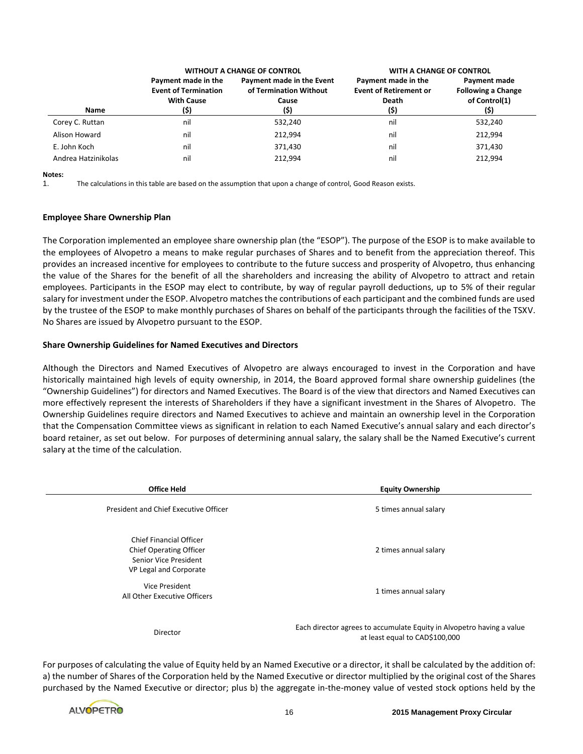|                     | <b>WITHOUT A CHANGE OF CONTROL</b>                                              |                                                                     | WITH A CHANGE OF CONTROL                                             |                                                                    |
|---------------------|---------------------------------------------------------------------------------|---------------------------------------------------------------------|----------------------------------------------------------------------|--------------------------------------------------------------------|
| Name                | Payment made in the<br><b>Event of Termination</b><br><b>With Cause</b><br>(\$) | Payment made in the Event<br>of Termination Without<br>Cause<br>(5) | Payment made in the<br><b>Event of Retirement or</b><br>Death<br>(5) | Payment made<br><b>Following a Change</b><br>of Control(1)<br>(\$) |
| Corey C. Ruttan     | nil                                                                             | 532,240                                                             | nil                                                                  | 532,240                                                            |
| Alison Howard       | nil                                                                             | 212.994                                                             | nil                                                                  | 212,994                                                            |
| E. John Koch        | nil                                                                             | 371,430                                                             | nil                                                                  | 371,430                                                            |
| Andrea Hatzinikolas | nil                                                                             | 212.994                                                             | nil                                                                  | 212,994                                                            |

**Notes:**

1. The calculations in this table are based on the assumption that upon a change of control, Good Reason exists.

#### **Employee Share Ownership Plan**

The Corporation implemented an employee share ownership plan (the "ESOP"). The purpose of the ESOP is to make available to the employees of Alvopetro a means to make regular purchases of Shares and to benefit from the appreciation thereof. This provides an increased incentive for employees to contribute to the future success and prosperity of Alvopetro, thus enhancing the value of the Shares for the benefit of all the shareholders and increasing the ability of Alvopetro to attract and retain employees. Participants in the ESOP may elect to contribute, by way of regular payroll deductions, up to 5% of their regular salary for investment under the ESOP. Alvopetro matches the contributions of each participant and the combined funds are used by the trustee of the ESOP to make monthly purchases of Shares on behalf of the participants through the facilities of the TSXV. No Shares are issued by Alvopetro pursuant to the ESOP.

#### **Share Ownership Guidelines for Named Executives and Directors**

Although the Directors and Named Executives of Alvopetro are always encouraged to invest in the Corporation and have historically maintained high levels of equity ownership, in 2014, the Board approved formal share ownership guidelines (the "Ownership Guidelines") for directors and Named Executives. The Board is of the view that directors and Named Executives can more effectively represent the interests of Shareholders if they have a significant investment in the Shares of Alvopetro. The Ownership Guidelines require directors and Named Executives to achieve and maintain an ownership level in the Corporation that the Compensation Committee views as significant in relation to each Named Executive's annual salary and each director's board retainer, as set out below. For purposes of determining annual salary, the salary shall be the Named Executive's current salary at the time of the calculation.

| <b>Office Held</b>                                                                                                  | <b>Equity Ownership</b>                                                                                 |
|---------------------------------------------------------------------------------------------------------------------|---------------------------------------------------------------------------------------------------------|
| President and Chief Executive Officer                                                                               | 5 times annual salary                                                                                   |
| <b>Chief Financial Officer</b><br><b>Chief Operating Officer</b><br>Senior Vice President<br>VP Legal and Corporate | 2 times annual salary                                                                                   |
| Vice President<br>All Other Executive Officers                                                                      | 1 times annual salary                                                                                   |
| Director                                                                                                            | Each director agrees to accumulate Equity in Alvopetro having a value<br>at least equal to CAD\$100,000 |

For purposes of calculating the value of Equity held by an Named Executive or a director, it shall be calculated by the addition of: a) the number of Shares of the Corporation held by the Named Executive or director multiplied by the original cost of the Shares purchased by the Named Executive or director; plus b) the aggregate in-the-money value of vested stock options held by the

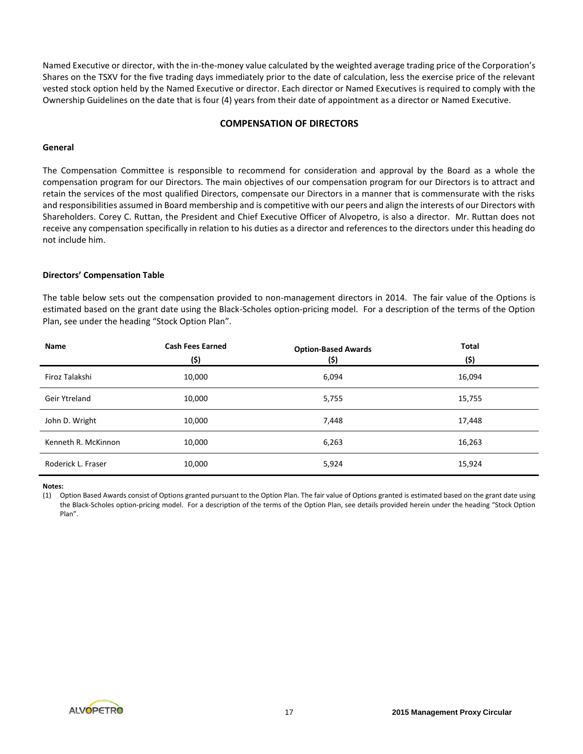Named Executive or director, with the in-the-money value calculated by the weighted average trading price of the Corporation's Shares on the TSXV for the five trading days immediately prior to the date of calculation, less the exercise price of the relevant vested stock option held by the Named Executive or director. Each director or Named Executives is required to comply with the Ownership Guidelines on the date that is four (4) years from their date of appointment as a director or Named Executive.

# **COMPENSATION OF DIRECTORS**

# **General**

The Compensation Committee is responsible to recommend for consideration and approval by the Board as a whole the compensation program for our Directors. The main objectives of our compensation program for our Directors is to attract and retain the services of the most qualified Directors, compensate our Directors in a manner that is commensurate with the risks and responsibilities assumed in Board membership and is competitive with our peers and align the interests of our Directors with Shareholders. Corey C. Ruttan, the President and Chief Executive Officer of Alvopetro, is also a director. Mr. Ruttan does not receive any compensation specifically in relation to his duties as a director and references to the directors under this heading do not include him.

# **Directors' Compensation Table**

The table below sets out the compensation provided to non-management directors in 2014. The fair value of the Options is estimated based on the grant date using the Black-Scholes option-pricing model. For a description of the terms of the Option Plan, see under the heading "Stock Option Plan".

| Name                | <b>Cash Fees Earned</b><br>(\$) | <b>Option-Based Awards</b><br>(\$) | <b>Total</b><br>(\$) |
|---------------------|---------------------------------|------------------------------------|----------------------|
| Firoz Talakshi      | 10,000                          | 6,094                              | 16,094               |
| Geir Ytreland       | 10,000                          | 5,755                              | 15,755               |
| John D. Wright      | 10,000                          | 7,448                              | 17,448               |
| Kenneth R. McKinnon | 10,000                          | 6,263                              | 16,263               |
| Roderick L. Fraser  | 10,000                          | 5,924                              | 15,924               |

**Notes:**

(1) Option Based Awards consist of Options granted pursuant to the Option Plan. The fair value of Options granted is estimated based on the grant date using the Black-Scholes option-pricing model. For a description of the terms of the Option Plan, see details provided herein under the heading "Stock Option Plan".

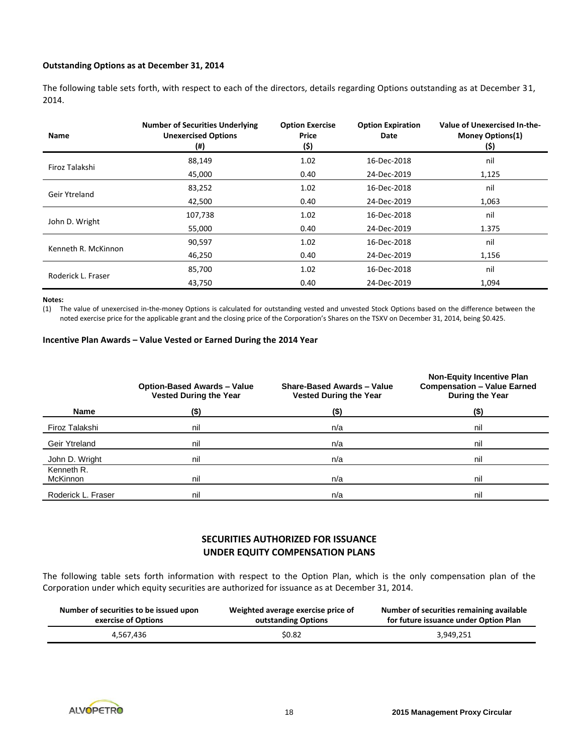# **Outstanding Options as at December 31, 2014**

The following table sets forth, with respect to each of the directors, details regarding Options outstanding as at December 31, 2014.

| <b>Name</b>         | <b>Number of Securities Underlying</b><br><b>Unexercised Options</b><br>$($ #) | <b>Option Exercise</b><br>Price<br>(\$) | <b>Option Expiration</b><br>Date | Value of Unexercised In-the-<br><b>Money Options(1)</b><br>(\$) |
|---------------------|--------------------------------------------------------------------------------|-----------------------------------------|----------------------------------|-----------------------------------------------------------------|
| Firoz Talakshi      | 88,149                                                                         | 1.02                                    | 16-Dec-2018                      | nil                                                             |
|                     | 45,000                                                                         | 0.40                                    | 24-Dec-2019                      | 1,125                                                           |
| Geir Ytreland       | 83,252                                                                         | 1.02                                    | 16-Dec-2018                      | nil                                                             |
|                     | 42,500                                                                         | 0.40                                    | 24-Dec-2019                      | 1,063                                                           |
| John D. Wright      | 107,738                                                                        | 1.02                                    | 16-Dec-2018                      | nil                                                             |
|                     | 55,000                                                                         | 0.40                                    | 24-Dec-2019                      | 1.375                                                           |
| Kenneth R. McKinnon | 90,597                                                                         | 1.02                                    | 16-Dec-2018                      | nil                                                             |
|                     | 46,250                                                                         | 0.40                                    | 24-Dec-2019                      | 1,156                                                           |
|                     | 85,700                                                                         | 1.02                                    | 16-Dec-2018                      | nil                                                             |
| Roderick L. Fraser  | 43,750                                                                         | 0.40                                    | 24-Dec-2019                      | 1,094                                                           |

#### **Notes:**

(1) The value of unexercised in-the-money Options is calculated for outstanding vested and unvested Stock Options based on the difference between the noted exercise price for the applicable grant and the closing price of the Corporation's Shares on the TSXV on December 31, 2014, being \$0.425.

# **Incentive Plan Awards – Value Vested or Earned During the 2014 Year**

|                               | <b>Option-Based Awards - Value</b><br><b>Vested During the Year</b> | Share-Based Awards - Value<br><b>Vested During the Year</b> | <b>Non-Equity Incentive Plan</b><br><b>Compensation - Value Earned</b><br><b>During the Year</b> |
|-------------------------------|---------------------------------------------------------------------|-------------------------------------------------------------|--------------------------------------------------------------------------------------------------|
| Name                          | (\$)                                                                | $($ \$)                                                     | $($ \$)                                                                                          |
| Firoz Talakshi                | nil                                                                 | n/a                                                         | nil                                                                                              |
| Geir Ytreland                 | nil                                                                 | n/a                                                         | nil                                                                                              |
| John D. Wright                | nil                                                                 | n/a                                                         | nil                                                                                              |
| Kenneth R.<br><b>McKinnon</b> | nil                                                                 | n/a                                                         | nil                                                                                              |
| Roderick L. Fraser            | nil                                                                 | n/a                                                         | nil                                                                                              |

# **SECURITIES AUTHORIZED FOR ISSUANCE UNDER EQUITY COMPENSATION PLANS**

The following table sets forth information with respect to the Option Plan, which is the only compensation plan of the Corporation under which equity securities are authorized for issuance as at December 31, 2014.

| Number of securities to be issued upon | Weighted average exercise price of | Number of securities remaining available |
|----------------------------------------|------------------------------------|------------------------------------------|
| exercise of Options                    | outstanding Options                | for future issuance under Option Plan    |
| 4.567.436                              | \$0.82                             | 3,949,251                                |

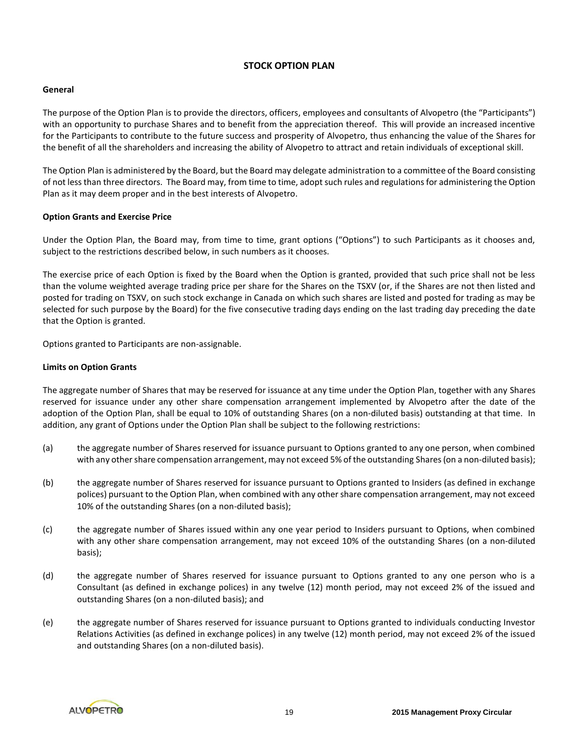# **STOCK OPTION PLAN**

# **General**

The purpose of the Option Plan is to provide the directors, officers, employees and consultants of Alvopetro (the "Participants") with an opportunity to purchase Shares and to benefit from the appreciation thereof. This will provide an increased incentive for the Participants to contribute to the future success and prosperity of Alvopetro, thus enhancing the value of the Shares for the benefit of all the shareholders and increasing the ability of Alvopetro to attract and retain individuals of exceptional skill.

The Option Plan is administered by the Board, but the Board may delegate administration to a committee of the Board consisting of not less than three directors. The Board may, from time to time, adopt such rules and regulations for administering the Option Plan as it may deem proper and in the best interests of Alvopetro.

# **Option Grants and Exercise Price**

Under the Option Plan, the Board may, from time to time, grant options ("Options") to such Participants as it chooses and, subject to the restrictions described below, in such numbers as it chooses.

The exercise price of each Option is fixed by the Board when the Option is granted, provided that such price shall not be less than the volume weighted average trading price per share for the Shares on the TSXV (or, if the Shares are not then listed and posted for trading on TSXV, on such stock exchange in Canada on which such shares are listed and posted for trading as may be selected for such purpose by the Board) for the five consecutive trading days ending on the last trading day preceding the date that the Option is granted.

Options granted to Participants are non-assignable.

# **Limits on Option Grants**

The aggregate number of Shares that may be reserved for issuance at any time under the Option Plan, together with any Shares reserved for issuance under any other share compensation arrangement implemented by Alvopetro after the date of the adoption of the Option Plan, shall be equal to 10% of outstanding Shares (on a non-diluted basis) outstanding at that time. In addition, any grant of Options under the Option Plan shall be subject to the following restrictions:

- (a) the aggregate number of Shares reserved for issuance pursuant to Options granted to any one person, when combined with any other share compensation arrangement, may not exceed 5% of the outstanding Shares (on a non-diluted basis);
- (b) the aggregate number of Shares reserved for issuance pursuant to Options granted to Insiders (as defined in exchange polices) pursuant to the Option Plan, when combined with any other share compensation arrangement, may not exceed 10% of the outstanding Shares (on a non-diluted basis);
- (c) the aggregate number of Shares issued within any one year period to Insiders pursuant to Options, when combined with any other share compensation arrangement, may not exceed 10% of the outstanding Shares (on a non-diluted basis);
- (d) the aggregate number of Shares reserved for issuance pursuant to Options granted to any one person who is a Consultant (as defined in exchange polices) in any twelve (12) month period, may not exceed 2% of the issued and outstanding Shares (on a non-diluted basis); and
- (e) the aggregate number of Shares reserved for issuance pursuant to Options granted to individuals conducting Investor Relations Activities (as defined in exchange polices) in any twelve (12) month period, may not exceed 2% of the issued and outstanding Shares (on a non-diluted basis).

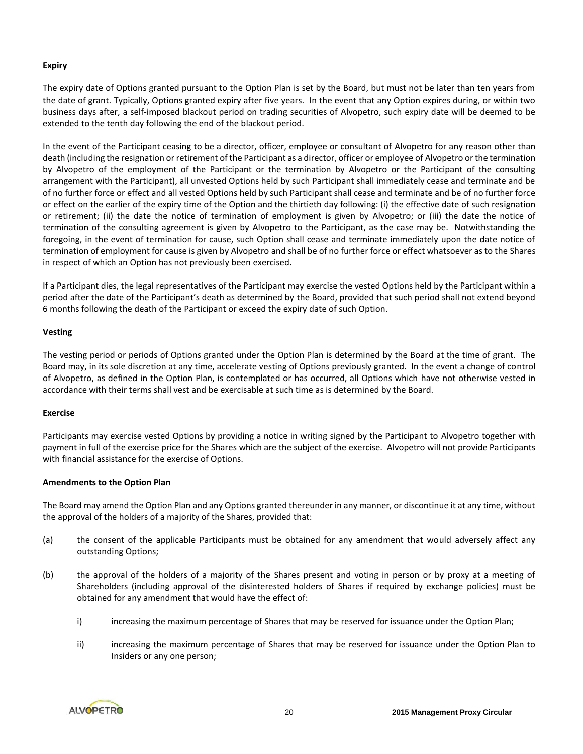# **Expiry**

The expiry date of Options granted pursuant to the Option Plan is set by the Board, but must not be later than ten years from the date of grant. Typically, Options granted expiry after five years. In the event that any Option expires during, or within two business days after, a self-imposed blackout period on trading securities of Alvopetro, such expiry date will be deemed to be extended to the tenth day following the end of the blackout period.

In the event of the Participant ceasing to be a director, officer, employee or consultant of Alvopetro for any reason other than death (including the resignation or retirement of the Participant as a director, officer or employee of Alvopetro or the termination by Alvopetro of the employment of the Participant or the termination by Alvopetro or the Participant of the consulting arrangement with the Participant), all unvested Options held by such Participant shall immediately cease and terminate and be of no further force or effect and all vested Options held by such Participant shall cease and terminate and be of no further force or effect on the earlier of the expiry time of the Option and the thirtieth day following: (i) the effective date of such resignation or retirement; (ii) the date the notice of termination of employment is given by Alvopetro; or (iii) the date the notice of termination of the consulting agreement is given by Alvopetro to the Participant, as the case may be. Notwithstanding the foregoing, in the event of termination for cause, such Option shall cease and terminate immediately upon the date notice of termination of employment for cause is given by Alvopetro and shall be of no further force or effect whatsoever as to the Shares in respect of which an Option has not previously been exercised.

If a Participant dies, the legal representatives of the Participant may exercise the vested Options held by the Participant within a period after the date of the Participant's death as determined by the Board, provided that such period shall not extend beyond 6 months following the death of the Participant or exceed the expiry date of such Option.

# **Vesting**

The vesting period or periods of Options granted under the Option Plan is determined by the Board at the time of grant. The Board may, in its sole discretion at any time, accelerate vesting of Options previously granted. In the event a change of control of Alvopetro, as defined in the Option Plan, is contemplated or has occurred, all Options which have not otherwise vested in accordance with their terms shall vest and be exercisable at such time as is determined by the Board.

#### **Exercise**

Participants may exercise vested Options by providing a notice in writing signed by the Participant to Alvopetro together with payment in full of the exercise price for the Shares which are the subject of the exercise. Alvopetro will not provide Participants with financial assistance for the exercise of Options.

# **Amendments to the Option Plan**

The Board may amend the Option Plan and any Options granted thereunder in any manner, or discontinue it at any time, without the approval of the holders of a majority of the Shares, provided that:

- (a) the consent of the applicable Participants must be obtained for any amendment that would adversely affect any outstanding Options;
- (b) the approval of the holders of a majority of the Shares present and voting in person or by proxy at a meeting of Shareholders (including approval of the disinterested holders of Shares if required by exchange policies) must be obtained for any amendment that would have the effect of:
	- i) increasing the maximum percentage of Shares that may be reserved for issuance under the Option Plan;
	- ii) increasing the maximum percentage of Shares that may be reserved for issuance under the Option Plan to Insiders or any one person;

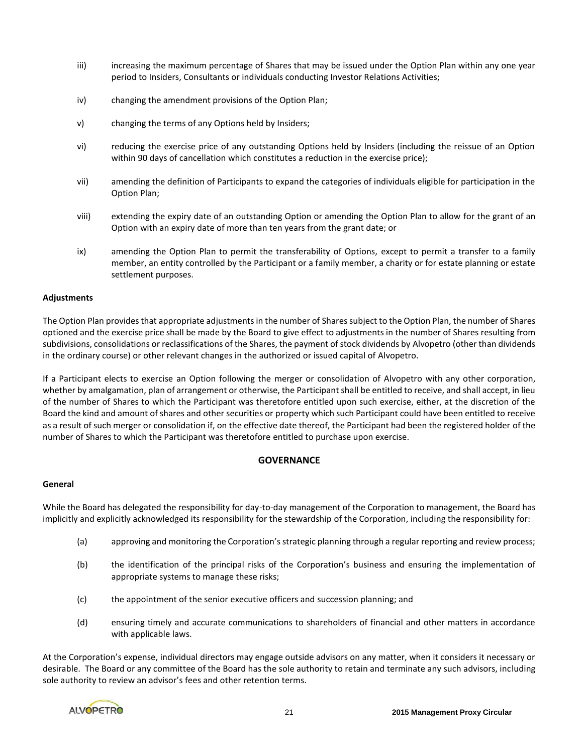- iii) increasing the maximum percentage of Shares that may be issued under the Option Plan within any one year period to Insiders, Consultants or individuals conducting Investor Relations Activities;
- iv) changing the amendment provisions of the Option Plan;
- v) changing the terms of any Options held by Insiders;
- vi) reducing the exercise price of any outstanding Options held by Insiders (including the reissue of an Option within 90 days of cancellation which constitutes a reduction in the exercise price);
- vii) amending the definition of Participants to expand the categories of individuals eligible for participation in the Option Plan;
- viii) extending the expiry date of an outstanding Option or amending the Option Plan to allow for the grant of an Option with an expiry date of more than ten years from the grant date; or
- ix) amending the Option Plan to permit the transferability of Options, except to permit a transfer to a family member, an entity controlled by the Participant or a family member, a charity or for estate planning or estate settlement purposes.

# **Adjustments**

The Option Plan provides that appropriate adjustments in the number of Sharessubject to the Option Plan, the number of Shares optioned and the exercise price shall be made by the Board to give effect to adjustments in the number of Shares resulting from subdivisions, consolidations or reclassifications of the Shares, the payment of stock dividends by Alvopetro (other than dividends in the ordinary course) or other relevant changes in the authorized or issued capital of Alvopetro.

If a Participant elects to exercise an Option following the merger or consolidation of Alvopetro with any other corporation, whether by amalgamation, plan of arrangement or otherwise, the Participant shall be entitled to receive, and shall accept, in lieu of the number of Shares to which the Participant was theretofore entitled upon such exercise, either, at the discretion of the Board the kind and amount of shares and other securities or property which such Participant could have been entitled to receive as a result of such merger or consolidation if, on the effective date thereof, the Participant had been the registered holder of the number of Shares to which the Participant was theretofore entitled to purchase upon exercise.

# **GOVERNANCE**

# **General**

While the Board has delegated the responsibility for day-to-day management of the Corporation to management, the Board has implicitly and explicitly acknowledged its responsibility for the stewardship of the Corporation, including the responsibility for:

- (a) approving and monitoring the Corporation's strategic planning through a regular reporting and review process;
- (b) the identification of the principal risks of the Corporation's business and ensuring the implementation of appropriate systems to manage these risks;
- (c) the appointment of the senior executive officers and succession planning; and
- (d) ensuring timely and accurate communications to shareholders of financial and other matters in accordance with applicable laws.

At the Corporation's expense, individual directors may engage outside advisors on any matter, when it considers it necessary or desirable. The Board or any committee of the Board has the sole authority to retain and terminate any such advisors, including sole authority to review an advisor's fees and other retention terms.

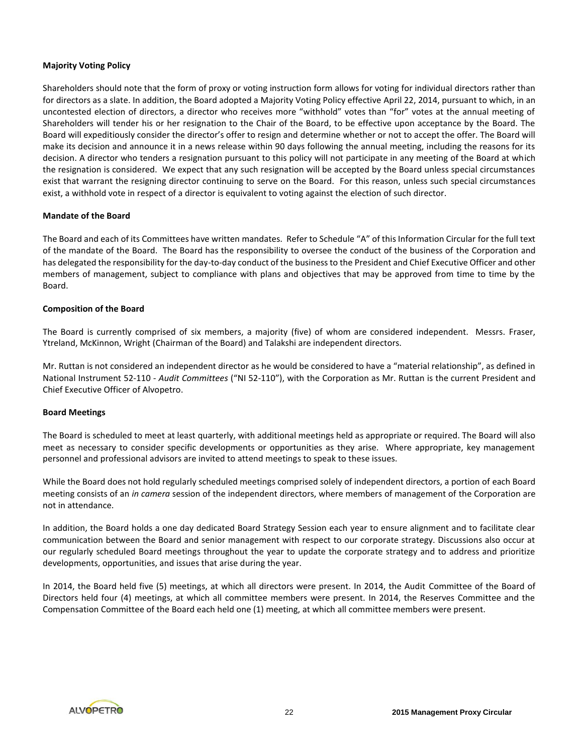# **Majority Voting Policy**

Shareholders should note that the form of proxy or voting instruction form allows for voting for individual directors rather than for directors as a slate. In addition, the Board adopted a Majority Voting Policy effective April 22, 2014, pursuant to which, in an uncontested election of directors, a director who receives more "withhold" votes than "for" votes at the annual meeting of Shareholders will tender his or her resignation to the Chair of the Board, to be effective upon acceptance by the Board. The Board will expeditiously consider the director's offer to resign and determine whether or not to accept the offer. The Board will make its decision and announce it in a news release within 90 days following the annual meeting, including the reasons for its decision. A director who tenders a resignation pursuant to this policy will not participate in any meeting of the Board at which the resignation is considered. We expect that any such resignation will be accepted by the Board unless special circumstances exist that warrant the resigning director continuing to serve on the Board. For this reason, unless such special circumstances exist, a withhold vote in respect of a director is equivalent to voting against the election of such director.

#### **Mandate of the Board**

The Board and each of its Committees have written mandates. Refer to Schedule "A" of this Information Circular for the full text of the mandate of the Board. The Board has the responsibility to oversee the conduct of the business of the Corporation and has delegated the responsibility for the day-to-day conduct of the business to the President and Chief Executive Officer and other members of management, subject to compliance with plans and objectives that may be approved from time to time by the Board.

# **Composition of the Board**

The Board is currently comprised of six members, a majority (five) of whom are considered independent. Messrs. Fraser, Ytreland, McKinnon, Wright (Chairman of the Board) and Talakshi are independent directors.

Mr. Ruttan is not considered an independent director as he would be considered to have a "material relationship", as defined in National Instrument 52-110 - *Audit Committees* ("NI 52-110"), with the Corporation as Mr. Ruttan is the current President and Chief Executive Officer of Alvopetro.

#### **Board Meetings**

The Board is scheduled to meet at least quarterly, with additional meetings held as appropriate or required. The Board will also meet as necessary to consider specific developments or opportunities as they arise. Where appropriate, key management personnel and professional advisors are invited to attend meetings to speak to these issues.

While the Board does not hold regularly scheduled meetings comprised solely of independent directors, a portion of each Board meeting consists of an *in camera* session of the independent directors, where members of management of the Corporation are not in attendance.

In addition, the Board holds a one day dedicated Board Strategy Session each year to ensure alignment and to facilitate clear communication between the Board and senior management with respect to our corporate strategy. Discussions also occur at our regularly scheduled Board meetings throughout the year to update the corporate strategy and to address and prioritize developments, opportunities, and issues that arise during the year.

In 2014, the Board held five (5) meetings, at which all directors were present. In 2014, the Audit Committee of the Board of Directors held four (4) meetings, at which all committee members were present. In 2014, the Reserves Committee and the Compensation Committee of the Board each held one (1) meeting, at which all committee members were present.

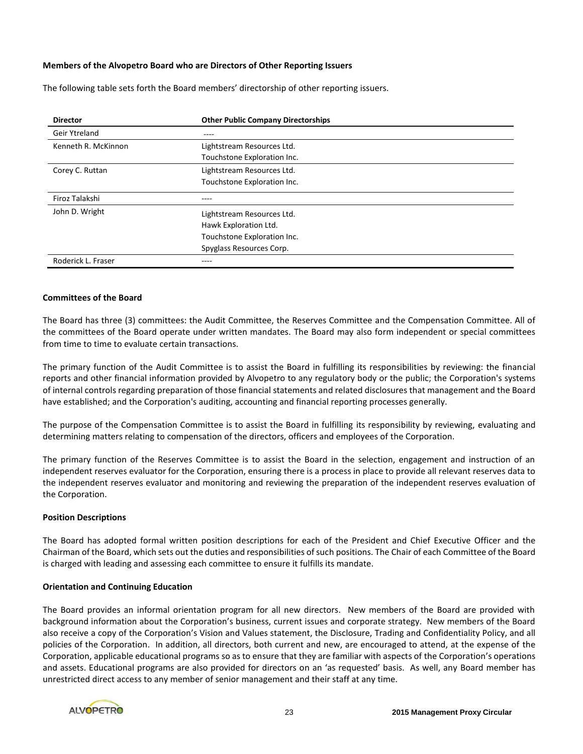# **Members of the Alvopetro Board who are Directors of Other Reporting Issuers**

The following table sets forth the Board members' directorship of other reporting issuers.

| <b>Director</b>     | <b>Other Public Company Directorships</b> |
|---------------------|-------------------------------------------|
| Geir Ytreland       | ----                                      |
| Kenneth R. McKinnon | Lightstream Resources Ltd.                |
|                     | Touchstone Exploration Inc.               |
| Corey C. Ruttan     | Lightstream Resources Ltd.                |
|                     | Touchstone Exploration Inc.               |
| Firoz Talakshi      | ----                                      |
| John D. Wright      | Lightstream Resources Ltd.                |
|                     | Hawk Exploration Ltd.                     |
|                     | Touchstone Exploration Inc.               |
|                     | Spyglass Resources Corp.                  |
| Roderick L. Fraser  | ----                                      |

## **Committees of the Board**

The Board has three (3) committees: the Audit Committee, the Reserves Committee and the Compensation Committee. All of the committees of the Board operate under written mandates. The Board may also form independent or special committees from time to time to evaluate certain transactions.

The primary function of the Audit Committee is to assist the Board in fulfilling its responsibilities by reviewing: the financial reports and other financial information provided by Alvopetro to any regulatory body or the public; the Corporation's systems of internal controls regarding preparation of those financial statements and related disclosures that management and the Board have established; and the Corporation's auditing, accounting and financial reporting processes generally.

The purpose of the Compensation Committee is to assist the Board in fulfilling its responsibility by reviewing, evaluating and determining matters relating to compensation of the directors, officers and employees of the Corporation.

The primary function of the Reserves Committee is to assist the Board in the selection, engagement and instruction of an independent reserves evaluator for the Corporation, ensuring there is a process in place to provide all relevant reserves data to the independent reserves evaluator and monitoring and reviewing the preparation of the independent reserves evaluation of the Corporation.

#### **Position Descriptions**

The Board has adopted formal written position descriptions for each of the President and Chief Executive Officer and the Chairman of the Board, which sets out the duties and responsibilities of such positions. The Chair of each Committee of the Board is charged with leading and assessing each committee to ensure it fulfills its mandate.

#### **Orientation and Continuing Education**

The Board provides an informal orientation program for all new directors. New members of the Board are provided with background information about the Corporation's business, current issues and corporate strategy. New members of the Board also receive a copy of the Corporation's Vision and Values statement, the Disclosure, Trading and Confidentiality Policy, and all policies of the Corporation. In addition, all directors, both current and new, are encouraged to attend, at the expense of the Corporation, applicable educational programs so as to ensure that they are familiar with aspects of the Corporation's operations and assets. Educational programs are also provided for directors on an 'as requested' basis. As well, any Board member has unrestricted direct access to any member of senior management and their staff at any time.

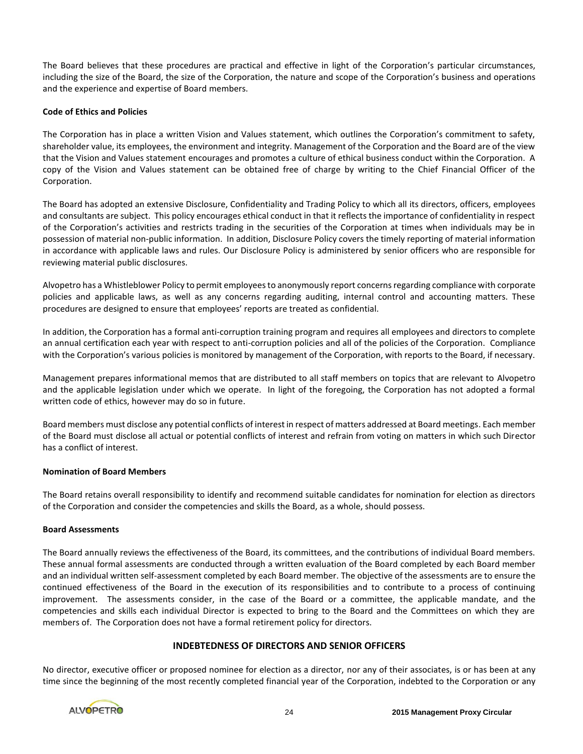The Board believes that these procedures are practical and effective in light of the Corporation's particular circumstances, including the size of the Board, the size of the Corporation, the nature and scope of the Corporation's business and operations and the experience and expertise of Board members.

# **Code of Ethics and Policies**

The Corporation has in place a written Vision and Values statement, which outlines the Corporation's commitment to safety, shareholder value, its employees, the environment and integrity. Management of the Corporation and the Board are of the view that the Vision and Values statement encourages and promotes a culture of ethical business conduct within the Corporation. A copy of the Vision and Values statement can be obtained free of charge by writing to the Chief Financial Officer of the Corporation.

The Board has adopted an extensive Disclosure, Confidentiality and Trading Policy to which all its directors, officers, employees and consultants are subject. This policy encourages ethical conduct in that it reflects the importance of confidentiality in respect of the Corporation's activities and restricts trading in the securities of the Corporation at times when individuals may be in possession of material non-public information. In addition, Disclosure Policy covers the timely reporting of material information in accordance with applicable laws and rules. Our Disclosure Policy is administered by senior officers who are responsible for reviewing material public disclosures.

Alvopetro has a Whistleblower Policy to permit employees to anonymously report concerns regarding compliance with corporate policies and applicable laws, as well as any concerns regarding auditing, internal control and accounting matters. These procedures are designed to ensure that employees' reports are treated as confidential.

In addition, the Corporation has a formal anti-corruption training program and requires all employees and directors to complete an annual certification each year with respect to anti-corruption policies and all of the policies of the Corporation. Compliance with the Corporation's various policies is monitored by management of the Corporation, with reports to the Board, if necessary.

Management prepares informational memos that are distributed to all staff members on topics that are relevant to Alvopetro and the applicable legislation under which we operate. In light of the foregoing, the Corporation has not adopted a formal written code of ethics, however may do so in future.

Board members must disclose any potential conflicts of interest in respect of matters addressed at Board meetings. Each member of the Board must disclose all actual or potential conflicts of interest and refrain from voting on matters in which such Director has a conflict of interest.

#### **Nomination of Board Members**

The Board retains overall responsibility to identify and recommend suitable candidates for nomination for election as directors of the Corporation and consider the competencies and skills the Board, as a whole, should possess.

#### **Board Assessments**

The Board annually reviews the effectiveness of the Board, its committees, and the contributions of individual Board members. These annual formal assessments are conducted through a written evaluation of the Board completed by each Board member and an individual written self-assessment completed by each Board member. The objective of the assessments are to ensure the continued effectiveness of the Board in the execution of its responsibilities and to contribute to a process of continuing improvement. The assessments consider, in the case of the Board or a committee, the applicable mandate, and the competencies and skills each individual Director is expected to bring to the Board and the Committees on which they are members of. The Corporation does not have a formal retirement policy for directors.

#### **INDEBTEDNESS OF DIRECTORS AND SENIOR OFFICERS**

No director, executive officer or proposed nominee for election as a director, nor any of their associates, is or has been at any time since the beginning of the most recently completed financial year of the Corporation, indebted to the Corporation or any

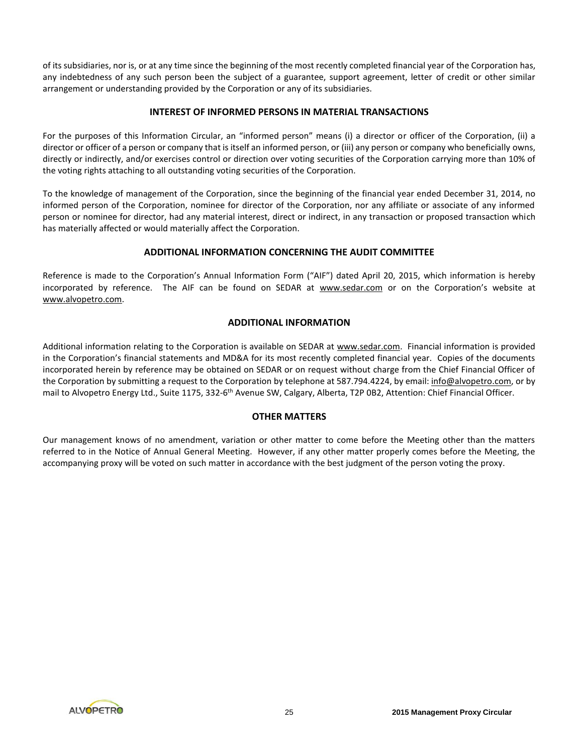of its subsidiaries, nor is, or at any time since the beginning of the most recently completed financial year of the Corporation has, any indebtedness of any such person been the subject of a guarantee, support agreement, letter of credit or other similar arrangement or understanding provided by the Corporation or any of its subsidiaries.

# **INTEREST OF INFORMED PERSONS IN MATERIAL TRANSACTIONS**

For the purposes of this Information Circular, an "informed person" means (i) a director or officer of the Corporation, (ii) a director or officer of a person or company that is itself an informed person, or (iii) any person or company who beneficially owns, directly or indirectly, and/or exercises control or direction over voting securities of the Corporation carrying more than 10% of the voting rights attaching to all outstanding voting securities of the Corporation.

To the knowledge of management of the Corporation, since the beginning of the financial year ended December 31, 2014, no informed person of the Corporation, nominee for director of the Corporation, nor any affiliate or associate of any informed person or nominee for director, had any material interest, direct or indirect, in any transaction or proposed transaction which has materially affected or would materially affect the Corporation.

# **ADDITIONAL INFORMATION CONCERNING THE AUDIT COMMITTEE**

Reference is made to the Corporation's Annual Information Form ("AIF") dated April 20, 2015, which information is hereby incorporated by reference. The AIF can be found on SEDAR at www.sedar.com or on the Corporation's website at www.alvopetro.com.

# **ADDITIONAL INFORMATION**

Additional information relating to the Corporation is available on SEDAR at www.sedar.com. Financial information is provided in the Corporation's financial statements and MD&A for its most recently completed financial year. Copies of the documents incorporated herein by reference may be obtained on SEDAR or on request without charge from the Chief Financial Officer of the Corporation by submitting a request to the Corporation by telephone at 587.794.4224, by email: *info@alvopetro.com*, or by mail to Alvopetro Energy Ltd., Suite 1175, 332-6<sup>th</sup> Avenue SW, Calgary, Alberta, T2P 0B2, Attention: Chief Financial Officer.

# **OTHER MATTERS**

Our management knows of no amendment, variation or other matter to come before the Meeting other than the matters referred to in the Notice of Annual General Meeting. However, if any other matter properly comes before the Meeting, the accompanying proxy will be voted on such matter in accordance with the best judgment of the person voting the proxy.

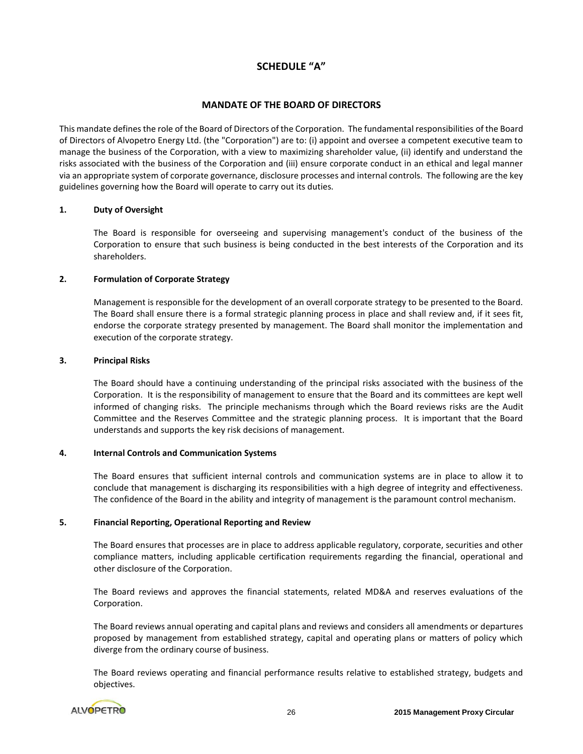# **SCHEDULE "A"**

# **MANDATE OF THE BOARD OF DIRECTORS**

This mandate defines the role of the Board of Directors of the Corporation. The fundamental responsibilities of the Board of Directors of Alvopetro Energy Ltd. (the "Corporation") are to: (i) appoint and oversee a competent executive team to manage the business of the Corporation, with a view to maximizing shareholder value, (ii) identify and understand the risks associated with the business of the Corporation and (iii) ensure corporate conduct in an ethical and legal manner via an appropriate system of corporate governance, disclosure processes and internal controls. The following are the key guidelines governing how the Board will operate to carry out its duties.

# **1. Duty of Oversight**

The Board is responsible for overseeing and supervising management's conduct of the business of the Corporation to ensure that such business is being conducted in the best interests of the Corporation and its shareholders.

#### **2. Formulation of Corporate Strategy**

Management is responsible for the development of an overall corporate strategy to be presented to the Board. The Board shall ensure there is a formal strategic planning process in place and shall review and, if it sees fit, endorse the corporate strategy presented by management. The Board shall monitor the implementation and execution of the corporate strategy.

# **3. Principal Risks**

The Board should have a continuing understanding of the principal risks associated with the business of the Corporation. It is the responsibility of management to ensure that the Board and its committees are kept well informed of changing risks. The principle mechanisms through which the Board reviews risks are the Audit Committee and the Reserves Committee and the strategic planning process. It is important that the Board understands and supports the key risk decisions of management.

#### **4. Internal Controls and Communication Systems**

The Board ensures that sufficient internal controls and communication systems are in place to allow it to conclude that management is discharging its responsibilities with a high degree of integrity and effectiveness. The confidence of the Board in the ability and integrity of management is the paramount control mechanism.

#### **5. Financial Reporting, Operational Reporting and Review**

The Board ensures that processes are in place to address applicable regulatory, corporate, securities and other compliance matters, including applicable certification requirements regarding the financial, operational and other disclosure of the Corporation.

The Board reviews and approves the financial statements, related MD&A and reserves evaluations of the Corporation.

The Board reviews annual operating and capital plans and reviews and considers all amendments or departures proposed by management from established strategy, capital and operating plans or matters of policy which diverge from the ordinary course of business.

The Board reviews operating and financial performance results relative to established strategy, budgets and objectives.

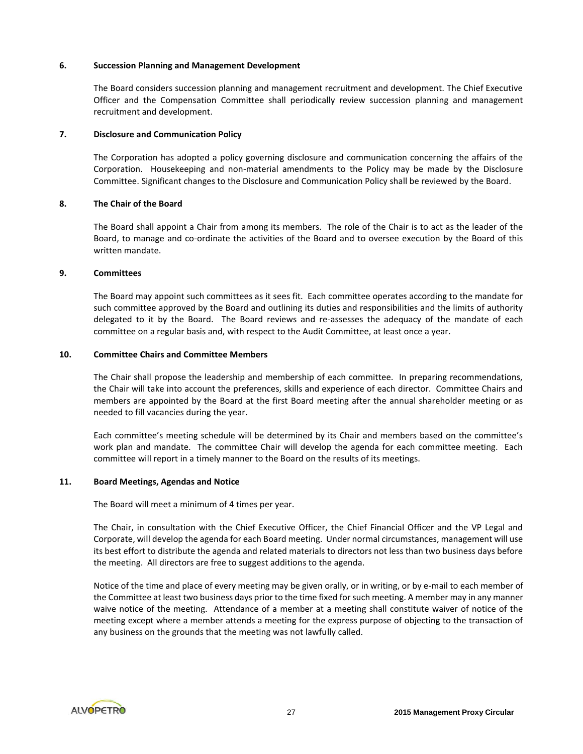#### **6. Succession Planning and Management Development**

The Board considers succession planning and management recruitment and development. The Chief Executive Officer and the Compensation Committee shall periodically review succession planning and management recruitment and development.

# **7. Disclosure and Communication Policy**

The Corporation has adopted a policy governing disclosure and communication concerning the affairs of the Corporation. Housekeeping and non-material amendments to the Policy may be made by the Disclosure Committee. Significant changes to the Disclosure and Communication Policy shall be reviewed by the Board.

# **8. The Chair of the Board**

The Board shall appoint a Chair from among its members. The role of the Chair is to act as the leader of the Board, to manage and co-ordinate the activities of the Board and to oversee execution by the Board of this written mandate.

# **9. Committees**

The Board may appoint such committees as it sees fit. Each committee operates according to the mandate for such committee approved by the Board and outlining its duties and responsibilities and the limits of authority delegated to it by the Board. The Board reviews and re-assesses the adequacy of the mandate of each committee on a regular basis and, with respect to the Audit Committee, at least once a year.

# **10. Committee Chairs and Committee Members**

The Chair shall propose the leadership and membership of each committee. In preparing recommendations, the Chair will take into account the preferences, skills and experience of each director. Committee Chairs and members are appointed by the Board at the first Board meeting after the annual shareholder meeting or as needed to fill vacancies during the year.

Each committee's meeting schedule will be determined by its Chair and members based on the committee's work plan and mandate. The committee Chair will develop the agenda for each committee meeting. Each committee will report in a timely manner to the Board on the results of its meetings.

# **11. Board Meetings, Agendas and Notice**

The Board will meet a minimum of 4 times per year.

The Chair, in consultation with the Chief Executive Officer, the Chief Financial Officer and the VP Legal and Corporate, will develop the agenda for each Board meeting. Under normal circumstances, management will use its best effort to distribute the agenda and related materials to directors not less than two business days before the meeting. All directors are free to suggest additions to the agenda.

Notice of the time and place of every meeting may be given orally, or in writing, or by e-mail to each member of the Committee at least two business days prior to the time fixed for such meeting. A member may in any manner waive notice of the meeting. Attendance of a member at a meeting shall constitute waiver of notice of the meeting except where a member attends a meeting for the express purpose of objecting to the transaction of any business on the grounds that the meeting was not lawfully called.

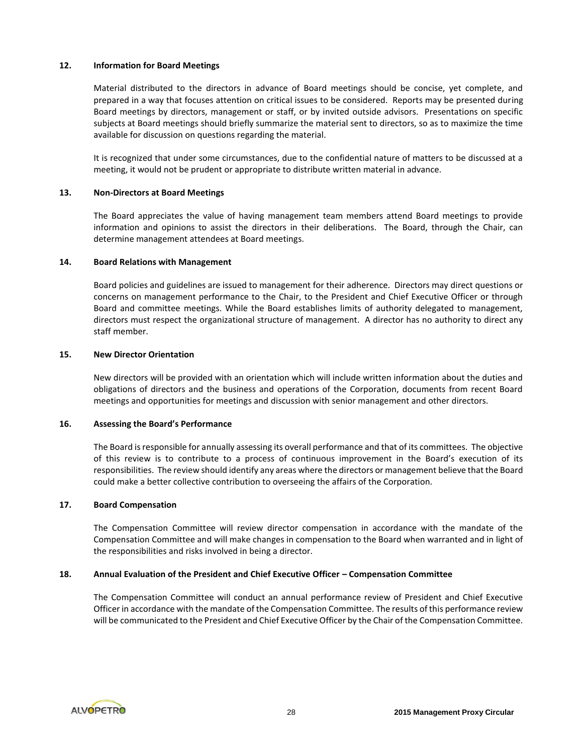# **12. Information for Board Meetings**

Material distributed to the directors in advance of Board meetings should be concise, yet complete, and prepared in a way that focuses attention on critical issues to be considered. Reports may be presented during Board meetings by directors, management or staff, or by invited outside advisors. Presentations on specific subjects at Board meetings should briefly summarize the material sent to directors, so as to maximize the time available for discussion on questions regarding the material.

It is recognized that under some circumstances, due to the confidential nature of matters to be discussed at a meeting, it would not be prudent or appropriate to distribute written material in advance.

#### **13. Non-Directors at Board Meetings**

The Board appreciates the value of having management team members attend Board meetings to provide information and opinions to assist the directors in their deliberations. The Board, through the Chair, can determine management attendees at Board meetings.

# **14. Board Relations with Management**

Board policies and guidelines are issued to management for their adherence. Directors may direct questions or concerns on management performance to the Chair, to the President and Chief Executive Officer or through Board and committee meetings. While the Board establishes limits of authority delegated to management, directors must respect the organizational structure of management. A director has no authority to direct any staff member.

#### **15. New Director Orientation**

New directors will be provided with an orientation which will include written information about the duties and obligations of directors and the business and operations of the Corporation, documents from recent Board meetings and opportunities for meetings and discussion with senior management and other directors.

# **16. Assessing the Board's Performance**

The Board is responsible for annually assessing its overall performance and that of its committees. The objective of this review is to contribute to a process of continuous improvement in the Board's execution of its responsibilities. The review should identify any areas where the directors or management believe that the Board could make a better collective contribution to overseeing the affairs of the Corporation.

#### **17. Board Compensation**

The Compensation Committee will review director compensation in accordance with the mandate of the Compensation Committee and will make changes in compensation to the Board when warranted and in light of the responsibilities and risks involved in being a director.

# **18. Annual Evaluation of the President and Chief Executive Officer – Compensation Committee**

The Compensation Committee will conduct an annual performance review of President and Chief Executive Officer in accordance with the mandate of the Compensation Committee. The results of this performance review will be communicated to the President and Chief Executive Officer by the Chair of the Compensation Committee.

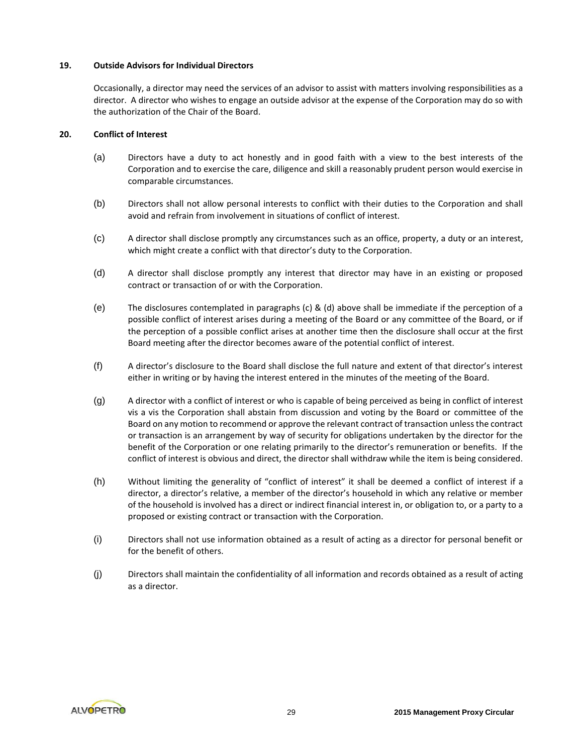# **19. Outside Advisors for Individual Directors**

Occasionally, a director may need the services of an advisor to assist with matters involving responsibilities as a director. A director who wishes to engage an outside advisor at the expense of the Corporation may do so with the authorization of the Chair of the Board.

# **20. Conflict of Interest**

- (a) Directors have a duty to act honestly and in good faith with a view to the best interests of the Corporation and to exercise the care, diligence and skill a reasonably prudent person would exercise in comparable circumstances.
- (b) Directors shall not allow personal interests to conflict with their duties to the Corporation and shall avoid and refrain from involvement in situations of conflict of interest.
- (c) A director shall disclose promptly any circumstances such as an office, property, a duty or an interest, which might create a conflict with that director's duty to the Corporation.
- (d) A director shall disclose promptly any interest that director may have in an existing or proposed contract or transaction of or with the Corporation.
- (e) The disclosures contemplated in paragraphs (c) & (d) above shall be immediate if the perception of a possible conflict of interest arises during a meeting of the Board or any committee of the Board, or if the perception of a possible conflict arises at another time then the disclosure shall occur at the first Board meeting after the director becomes aware of the potential conflict of interest.
- (f) A director's disclosure to the Board shall disclose the full nature and extent of that director's interest either in writing or by having the interest entered in the minutes of the meeting of the Board.
- (g) A director with a conflict of interest or who is capable of being perceived as being in conflict of interest vis a vis the Corporation shall abstain from discussion and voting by the Board or committee of the Board on any motion to recommend or approve the relevant contract of transaction unless the contract or transaction is an arrangement by way of security for obligations undertaken by the director for the benefit of the Corporation or one relating primarily to the director's remuneration or benefits. If the conflict of interest is obvious and direct, the director shall withdraw while the item is being considered.
- (h) Without limiting the generality of "conflict of interest" it shall be deemed a conflict of interest if a director, a director's relative, a member of the director's household in which any relative or member of the household is involved has a direct or indirect financial interest in, or obligation to, or a party to a proposed or existing contract or transaction with the Corporation.
- (i) Directors shall not use information obtained as a result of acting as a director for personal benefit or for the benefit of others.
- (j) Directors shall maintain the confidentiality of all information and records obtained as a result of acting as a director.